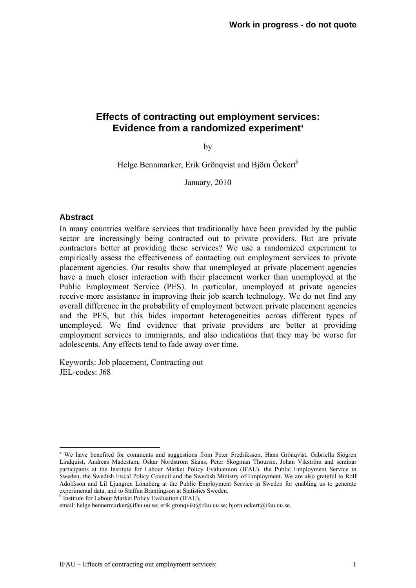# **Effects of contracting out employment services: Evidence from a randomized experiment**<sup>a</sup>

by

Helge Bennmarker, Erik Grönqvist and Björn Öckert<sup>b</sup>

January, 2010

### **Abstract**

1

In many countries welfare services that traditionally have been provided by the public sector are increasingly being contracted out to private providers. But are private contractors better at providing these services? We use a randomized experiment to empirically assess the effectiveness of contacting out employment services to private placement agencies. Our results show that unemployed at private placement agencies have a much closer interaction with their placement worker than unemployed at the Public Employment Service (PES). In particular, unemployed at private agencies receive more assistance in improving their job search technology. We do not find any overall difference in the probability of employment between private placement agencies and the PES, but this hides important heterogeneities across different types of unemployed. We find evidence that private providers are better at providing employment services to immigrants, and also indications that they may be worse for adolescents. Any effects tend to fade away over time.

Keywords: Job placement, Contracting out JEL-codes: J68

a We have benefited for comments and suggestions from Peter Fredriksson, Hans Grönqvist, Gabriella Sjögren Lindquist, Andreas Madestam, Oskar Nordström Skans, Peter Skogman Thoursie, Johan Vikström and seminar participants at the Institute for Labour Market Policy Evaluatuion (IFAU), the Public Employment Service in Sweden, the Swedish Fiscal Policy Council and the Swedish Ministry of Employment. We are also grateful to Rolf Adolfsson and Lil Ljungren Lönnberg at the Public Employment Service in Sweden for enabling us to generate experimental data, and to Staffan Brantingson at Statistics Sweden.<br><sup>b</sup> Institute for Labour Market Policy Evaluation (IFAU),

email: helge.bennermarker@ifau.uu.se; erik.gronqvist@ifau.uu.se; bjorn.ockert@ifau.uu.se.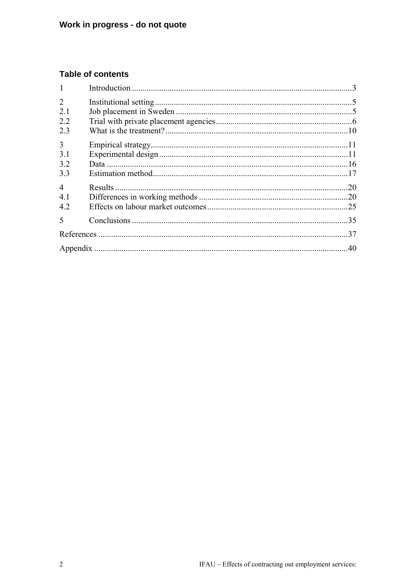# **Table of contents**

| $\overline{2}$           |    |
|--------------------------|----|
| 2.1                      |    |
| 2.2                      |    |
| 2.3                      |    |
| $\overline{3}$           |    |
| 3.1                      |    |
| 3.2                      |    |
| 3.3                      |    |
| $\overline{\mathcal{A}}$ |    |
| 4.1                      |    |
| 4.2                      |    |
| 5                        | 35 |
|                          | 37 |
|                          |    |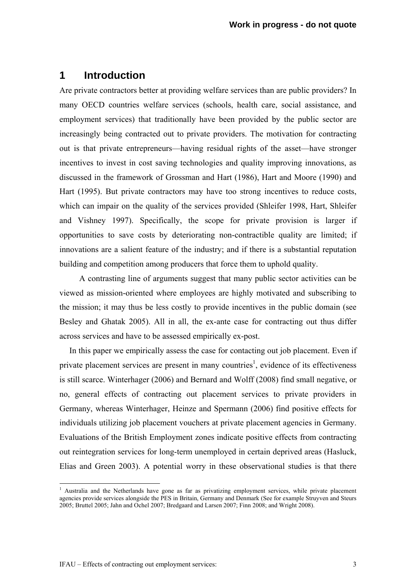# **1 Introduction**

Are private contractors better at providing welfare services than are public providers? In many OECD countries welfare services (schools, health care, social assistance, and employment services) that traditionally have been provided by the public sector are increasingly being contracted out to private providers. The motivation for contracting out is that private entrepreneurs—having residual rights of the asset—have stronger incentives to invest in cost saving technologies and quality improving innovations, as discussed in the framework of Grossman and Hart (1986), Hart and Moore (1990) and Hart (1995). But private contractors may have too strong incentives to reduce costs, which can impair on the quality of the services provided (Shleifer 1998, Hart, Shleifer and Vishney 1997). Specifically, the scope for private provision is larger if opportunities to save costs by deteriorating non-contractible quality are limited; if innovations are a salient feature of the industry; and if there is a substantial reputation building and competition among producers that force them to uphold quality.

A contrasting line of arguments suggest that many public sector activities can be viewed as mission-oriented where employees are highly motivated and subscribing to the mission; it may thus be less costly to provide incentives in the public domain (see Besley and Ghatak 2005). All in all, the ex-ante case for contracting out thus differ across services and have to be assessed empirically ex-post.

In this paper we empirically assess the case for contacting out job placement. Even if private placement services are present in many countries<sup>1</sup>, evidence of its effectiveness is still scarce. Winterhager (2006) and Bernard and Wolff (2008) find small negative, or no, general effects of contracting out placement services to private providers in Germany, whereas Winterhager, Heinze and Spermann (2006) find positive effects for individuals utilizing job placement vouchers at private placement agencies in Germany. Evaluations of the British Employment zones indicate positive effects from contracting out reintegration services for long-term unemployed in certain deprived areas (Hasluck, Elias and Green 2003). A potential worry in these observational studies is that there

<sup>&</sup>lt;sup>1</sup> Australia and the Netherlands have gone as far as privatizing employment services, while private placement agencies provide services alongside the PES in Britain, Germany and Denmark (See for example Struyven and Steurs 2005; Bruttel 2005; Jahn and Ochel 2007; Bredgaard and Larsen 2007; Finn 2008; and Wright 2008).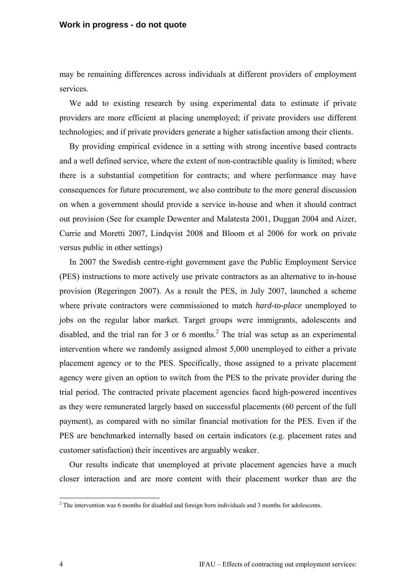#### **Work in progress - do not quote**

may be remaining differences across individuals at different providers of employment services.

We add to existing research by using experimental data to estimate if private providers are more efficient at placing unemployed; if private providers use different technologies; and if private providers generate a higher satisfaction among their clients.

By providing empirical evidence in a setting with strong incentive based contracts and a well defined service, where the extent of non-contractible quality is limited; where there is a substantial competition for contracts; and where performance may have consequences for future procurement, we also contribute to the more general discussion on when a government should provide a service in-house and when it should contract out provision (See for example Dewenter and Malatesta 2001, Duggan 2004 and Aizer, Currie and Moretti 2007, Lindqvist 2008 and Bloom et al 2006 for work on private versus public in other settings)

In 2007 the Swedish centre-right government gave the Public Employment Service (PES) instructions to more actively use private contractors as an alternative to in-house provision (Regeringen 2007). As a result the PES, in July 2007, launched a scheme where private contractors were commissioned to match *hard-to-place* unemployed to jobs on the regular labor market. Target groups were immigrants, adolescents and disabled, and the trial ran for 3 or 6 months.<sup>2</sup> The trial was setup as an experimental intervention where we randomly assigned almost 5,000 unemployed to either a private placement agency or to the PES. Specifically, those assigned to a private placement agency were given an option to switch from the PES to the private provider during the trial period. The contracted private placement agencies faced high-powered incentives as they were remunerated largely based on successful placements (60 percent of the full payment), as compared with no similar financial motivation for the PES. Even if the PES are benchmarked internally based on certain indicators (e.g. placement rates and customer satisfaction) their incentives are arguably weaker.

Our results indicate that unemployed at private placement agencies have a much closer interaction and are more content with their placement worker than are the

The intervention was 6 months for disabled and foreign born individuals and 3 months for adolescents.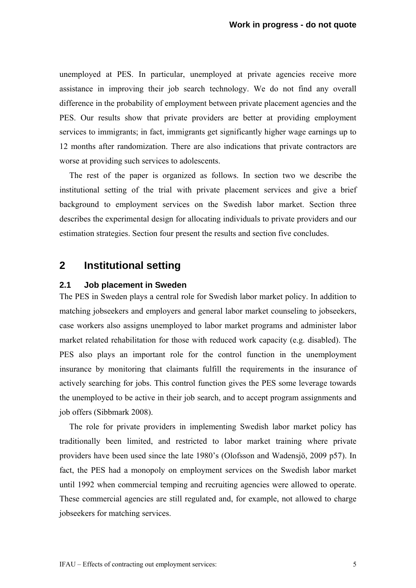unemployed at PES. In particular, unemployed at private agencies receive more assistance in improving their job search technology. We do not find any overall difference in the probability of employment between private placement agencies and the PES. Our results show that private providers are better at providing employment services to immigrants; in fact, immigrants get significantly higher wage earnings up to 12 months after randomization. There are also indications that private contractors are worse at providing such services to adolescents.

The rest of the paper is organized as follows. In section two we describe the institutional setting of the trial with private placement services and give a brief background to employment services on the Swedish labor market. Section three describes the experimental design for allocating individuals to private providers and our estimation strategies. Section four present the results and section five concludes.

# **2 Institutional setting**

### **2.1 Job placement in Sweden**

The PES in Sweden plays a central role for Swedish labor market policy. In addition to matching jobseekers and employers and general labor market counseling to jobseekers, case workers also assigns unemployed to labor market programs and administer labor market related rehabilitation for those with reduced work capacity (e.g. disabled). The PES also plays an important role for the control function in the unemployment insurance by monitoring that claimants fulfill the requirements in the insurance of actively searching for jobs. This control function gives the PES some leverage towards the unemployed to be active in their job search, and to accept program assignments and job offers (Sibbmark 2008).

The role for private providers in implementing Swedish labor market policy has traditionally been limited, and restricted to labor market training where private providers have been used since the late 1980's (Olofsson and Wadensjö, 2009 p57). In fact, the PES had a monopoly on employment services on the Swedish labor market until 1992 when commercial temping and recruiting agencies were allowed to operate. These commercial agencies are still regulated and, for example, not allowed to charge jobseekers for matching services.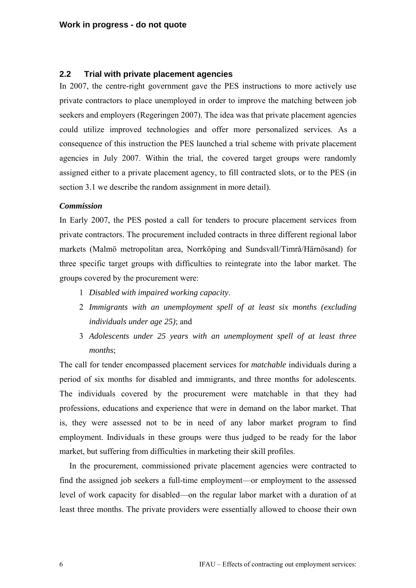# **2.2 Trial with private placement agencies**

In 2007, the centre-right government gave the PES instructions to more actively use private contractors to place unemployed in order to improve the matching between job seekers and employers (Regeringen 2007). The idea was that private placement agencies could utilize improved technologies and offer more personalized services. As a consequence of this instruction the PES launched a trial scheme with private placement agencies in July 2007. Within the trial, the covered target groups were randomly assigned either to a private placement agency, to fill contracted slots, or to the PES (in section 3.1 we describe the random assignment in more detail).

### *Commission*

In Early 2007, the PES posted a call for tenders to procure placement services from private contractors. The procurement included contracts in three different regional labor markets (Malmö metropolitan area, Norrköping and Sundsvall/Timrå/Härnösand) for three specific target groups with difficulties to reintegrate into the labor market. The groups covered by the procurement were:

- 1 *Disabled with impaired working capacity*.
- 2 *Immigrants with an unemployment spell of at least six months (excluding individuals under age 25)*; and
- 3 *Adolescents under 25 years with an unemployment spell of at least three months*;

The call for tender encompassed placement services for *matchable* individuals during a period of six months for disabled and immigrants, and three months for adolescents. The individuals covered by the procurement were matchable in that they had professions, educations and experience that were in demand on the labor market. That is, they were assessed not to be in need of any labor market program to find employment. Individuals in these groups were thus judged to be ready for the labor market, but suffering from difficulties in marketing their skill profiles.

In the procurement, commissioned private placement agencies were contracted to find the assigned job seekers a full-time employment—or employment to the assessed level of work capacity for disabled—on the regular labor market with a duration of at least three months. The private providers were essentially allowed to choose their own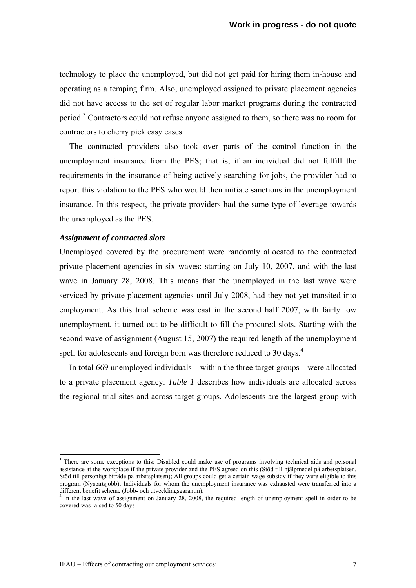technology to place the unemployed, but did not get paid for hiring them in-house and operating as a temping firm. Also, unemployed assigned to private placement agencies did not have access to the set of regular labor market programs during the contracted period.<sup>3</sup> Contractors could not refuse anyone assigned to them, so there was no room for contractors to cherry pick easy cases.

The contracted providers also took over parts of the control function in the unemployment insurance from the PES; that is, if an individual did not fulfill the requirements in the insurance of being actively searching for jobs, the provider had to report this violation to the PES who would then initiate sanctions in the unemployment insurance. In this respect, the private providers had the same type of leverage towards the unemployed as the PES.

#### *Assignment of contracted slots*

1

Unemployed covered by the procurement were randomly allocated to the contracted private placement agencies in six waves: starting on July 10, 2007, and with the last wave in January 28, 2008. This means that the unemployed in the last wave were serviced by private placement agencies until July 2008, had they not yet transited into employment. As this trial scheme was cast in the second half 2007, with fairly low unemployment, it turned out to be difficult to fill the procured slots. Starting with the second wave of assignment (August 15, 2007) the required length of the unemployment spell for adolescents and foreign born was therefore reduced to 30 days.<sup>4</sup>

In total 669 unemployed individuals—within the three target groups—were allocated to a private placement agency. *Table 1* describes how individuals are allocated across the regional trial sites and across target groups. Adolescents are the largest group with

<sup>&</sup>lt;sup>3</sup> There are some exceptions to this: Disabled could make use of programs involving technical aids and personal assistance at the workplace if the private provider and the PES agreed on this (Stöd till hjälpmedel på arbetsplatsen, Stöd till personligt biträde på arbetsplatsen); All groups could get a certain wage subsidy if they were eligible to this program (Nystartsjobb); Individuals for whom the unemployment insurance was exhausted were transferred into a different benefit scheme (Jobb- och utvecklingsgarantin).<br><sup>4</sup> In the last wave of assignment on January 28, 2008, the required length of unemployment spell in order to be

covered was raised to 50 days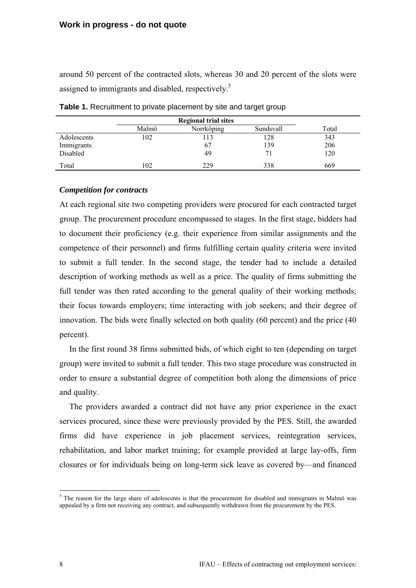around 50 percent of the contracted slots, whereas 30 and 20 percent of the slots were assigned to immigrants and disabled, respectively.<sup>5</sup>

|             | <b>Regional trial sites</b> |            |           |       |
|-------------|-----------------------------|------------|-----------|-------|
|             | Malmö                       | Norrköping | Sundsvall | Total |
| Adolescents | 102                         | 13         | 128       | 343   |
| Immigrants  |                             | 67         | 139       | 206   |
| Disabled    |                             | 49         | 71        | 120   |
| Total       | 102                         | 229        | 338       | 669   |

Table 1. Recruitment to private placement by site and target group

### *Competition for contracts*

At each regional site two competing providers were procured for each contracted target group. The procurement procedure encompassed to stages. In the first stage, bidders had to document their proficiency (e.g. their experience from similar assignments and the competence of their personnel) and firms fulfilling certain quality criteria were invited to submit a full tender. In the second stage, the tender had to include a detailed description of working methods as well as a price. The quality of firms submitting the full tender was then rated according to the general quality of their working methods; their focus towards employers; time interacting with job seekers; and their degree of innovation. The bids were finally selected on both quality (60 percent) and the price (40 percent).

In the first round 38 firms submitted bids, of which eight to ten (depending on target group) were invited to submit a full tender. This two stage procedure was constructed in order to ensure a substantial degree of competition both along the dimensions of price and quality.

The providers awarded a contract did not have any prior experience in the exact services procured, since these were previously provided by the PES. Still, the awarded firms did have experience in job placement services, reintegration services, rehabilitation, and labor market training; for example provided at large lay-offs, firm closures or for individuals being on long-term sick leave as covered by—and financed

<sup>&</sup>lt;sup>5</sup> The reason for the large share of adolescents is that the procurement for disabled and immigrants in Malmö was appealed by a firm not receiving any contract, and subsequently withdrawn from the procurement by the PES.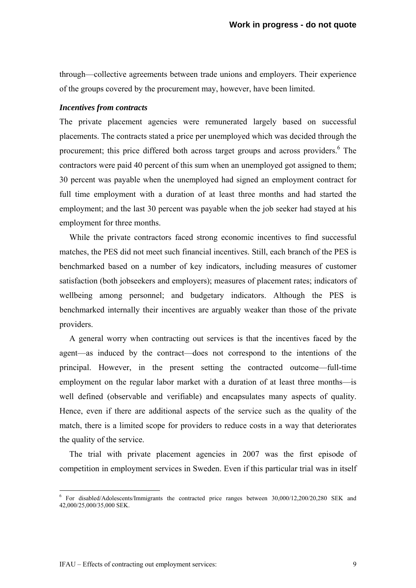through—collective agreements between trade unions and employers. Their experience of the groups covered by the procurement may, however, have been limited.

#### *Incentives from contracts*

The private placement agencies were remunerated largely based on successful placements. The contracts stated a price per unemployed which was decided through the procurement; this price differed both across target groups and across providers.<sup>6</sup> The contractors were paid 40 percent of this sum when an unemployed got assigned to them; 30 percent was payable when the unemployed had signed an employment contract for full time employment with a duration of at least three months and had started the employment; and the last 30 percent was payable when the job seeker had stayed at his employment for three months.

While the private contractors faced strong economic incentives to find successful matches, the PES did not meet such financial incentives. Still, each branch of the PES is benchmarked based on a number of key indicators, including measures of customer satisfaction (both jobseekers and employers); measures of placement rates; indicators of wellbeing among personnel; and budgetary indicators. Although the PES is benchmarked internally their incentives are arguably weaker than those of the private providers.

A general worry when contracting out services is that the incentives faced by the agent—as induced by the contract—does not correspond to the intentions of the principal. However, in the present setting the contracted outcome—full-time employment on the regular labor market with a duration of at least three months—is well defined (observable and verifiable) and encapsulates many aspects of quality. Hence, even if there are additional aspects of the service such as the quality of the match, there is a limited scope for providers to reduce costs in a way that deteriorates the quality of the service.

The trial with private placement agencies in 2007 was the first episode of competition in employment services in Sweden. Even if this particular trial was in itself

 6 For disabled/Adolescents/Immigrants the contracted price ranges between 30,000/12,200/20,280 SEK and 42,000/25,000/35,000 SEK.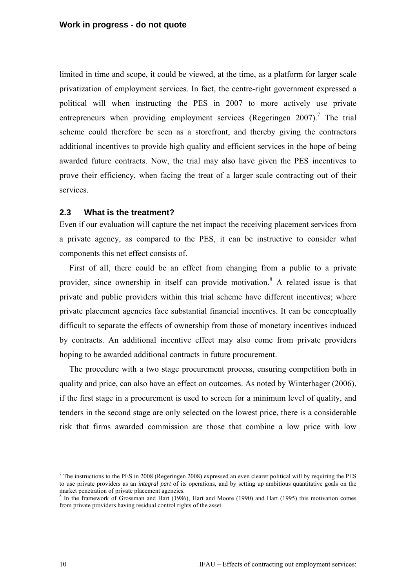limited in time and scope, it could be viewed, at the time, as a platform for larger scale privatization of employment services. In fact, the centre-right government expressed a political will when instructing the PES in 2007 to more actively use private entrepreneurs when providing employment services (Regeringen  $2007$ ).<sup>7</sup> The trial scheme could therefore be seen as a storefront, and thereby giving the contractors additional incentives to provide high quality and efficient services in the hope of being awarded future contracts. Now, the trial may also have given the PES incentives to prove their efficiency, when facing the treat of a larger scale contracting out of their services.

### **2.3 What is the treatment?**

Even if our evaluation will capture the net impact the receiving placement services from a private agency, as compared to the PES, it can be instructive to consider what components this net effect consists of.

First of all, there could be an effect from changing from a public to a private provider, since ownership in itself can provide motivation.<sup>8</sup> A related issue is that private and public providers within this trial scheme have different incentives; where private placement agencies face substantial financial incentives. It can be conceptually difficult to separate the effects of ownership from those of monetary incentives induced by contracts. An additional incentive effect may also come from private providers hoping to be awarded additional contracts in future procurement.

The procedure with a two stage procurement process, ensuring competition both in quality and price, can also have an effect on outcomes. As noted by Winterhager (2006), if the first stage in a procurement is used to screen for a minimum level of quality, and tenders in the second stage are only selected on the lowest price, there is a considerable risk that firms awarded commission are those that combine a low price with low

<u>.</u>

 $<sup>7</sup>$  The instructions to the PES in 2008 (Regeringen 2008) expressed an even clearer political will by requiring the PES</sup> to use private providers as an *integral part* of its operations, and by setting up ambitious quantitative goals on the market penetration of private placement agencies.<br><sup>8</sup> In the framework of Grossman and Hart (1986), Hart and Moore (1990) and Hart (1995) this motivation comes

from private providers having residual control rights of the asset.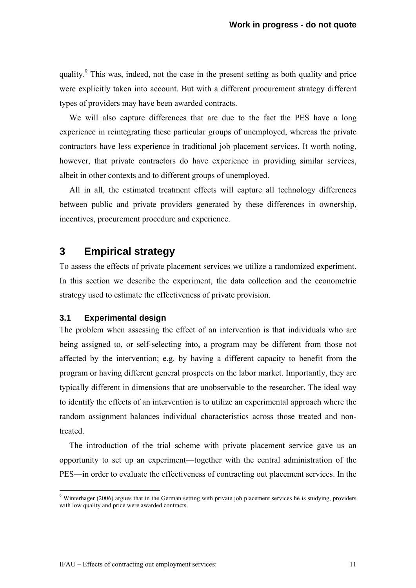quality.<sup>9</sup> This was, indeed, not the case in the present setting as both quality and price were explicitly taken into account. But with a different procurement strategy different types of providers may have been awarded contracts.

We will also capture differences that are due to the fact the PES have a long experience in reintegrating these particular groups of unemployed, whereas the private contractors have less experience in traditional job placement services. It worth noting, however, that private contractors do have experience in providing similar services, albeit in other contexts and to different groups of unemployed.

All in all, the estimated treatment effects will capture all technology differences between public and private providers generated by these differences in ownership, incentives, procurement procedure and experience.

# **3 Empirical strategy**

To assess the effects of private placement services we utilize a randomized experiment. In this section we describe the experiment, the data collection and the econometric strategy used to estimate the effectiveness of private provision.

### **3.1 Experimental design**

The problem when assessing the effect of an intervention is that individuals who are being assigned to, or self-selecting into, a program may be different from those not affected by the intervention; e.g. by having a different capacity to benefit from the program or having different general prospects on the labor market. Importantly, they are typically different in dimensions that are unobservable to the researcher. The ideal way to identify the effects of an intervention is to utilize an experimental approach where the random assignment balances individual characteristics across those treated and nontreated.

The introduction of the trial scheme with private placement service gave us an opportunity to set up an experiment—together with the central administration of the PES—in order to evaluate the effectiveness of contracting out placement services. In the

Winterhager (2006) argues that in the German setting with private job placement services he is studying, providers with low quality and price were awarded contracts.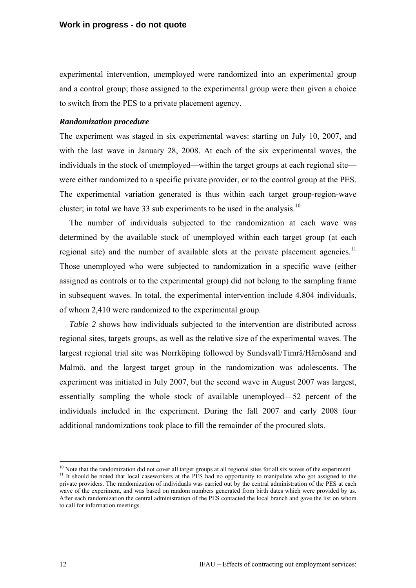experimental intervention, unemployed were randomized into an experimental group and a control group; those assigned to the experimental group were then given a choice to switch from the PES to a private placement agency.

### *Randomization procedure*

The experiment was staged in six experimental waves: starting on July 10, 2007, and with the last wave in January 28, 2008. At each of the six experimental waves, the individuals in the stock of unemployed—within the target groups at each regional site were either randomized to a specific private provider, or to the control group at the PES. The experimental variation generated is thus within each target group-region-wave cluster; in total we have 33 sub experiments to be used in the analysis.<sup>10</sup>

The number of individuals subjected to the randomization at each wave was determined by the available stock of unemployed within each target group (at each regional site) and the number of available slots at the private placement agencies.<sup>11</sup> Those unemployed who were subjected to randomization in a specific wave (either assigned as controls or to the experimental group) did not belong to the sampling frame in subsequent waves. In total, the experimental intervention include 4,804 individuals, of whom 2,410 were randomized to the experimental group.

*Table 2* shows how individuals subjected to the intervention are distributed across regional sites, targets groups, as well as the relative size of the experimental waves. The largest regional trial site was Norrköping followed by Sundsvall/Timrå/Härnösand and Malmö, and the largest target group in the randomization was adolescents. The experiment was initiated in July 2007, but the second wave in August 2007 was largest, essentially sampling the whole stock of available unemployed—52 percent of the individuals included in the experiment. During the fall 2007 and early 2008 four additional randomizations took place to fill the remainder of the procured slots.

1

 $^{10}$  Note that the randomization did not cover all target groups at all regional sites for all six waves of the experiment.<br><sup>11</sup> It should be noted that local caseworkers at the PES had no opportunity to manipulate who private providers. The randomization of individuals was carried out by the central administration of the PES at each wave of the experiment, and was based on random numbers generated from birth dates which were provided by us. After each randomization the central administration of the PES contacted the local branch and gave the list on whom to call for information meetings.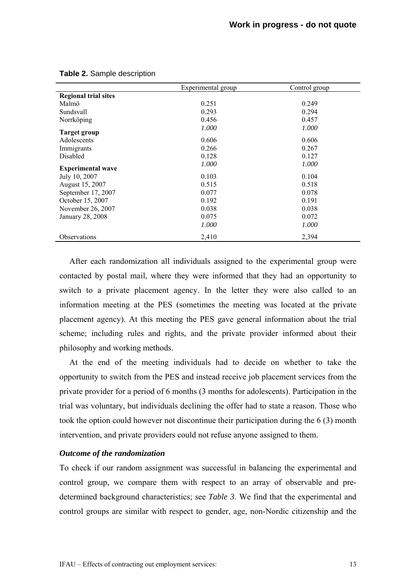|                             | Experimental group | Control group |
|-----------------------------|--------------------|---------------|
| <b>Regional trial sites</b> |                    |               |
| Malmö                       | 0.251              | 0.249         |
| Sundsvall                   | 0.293              | 0.294         |
| Norrköping                  | 0.456              | 0.457         |
| Target group                | 1.000              | 1.000         |
| Adolescents                 | 0.606              | 0.606         |
| Immigrants                  | 0.266              | 0.267         |
| Disabled                    | 0.128              | 0.127         |
| <b>Experimental wave</b>    | 1.000              | 1.000         |
| July 10, 2007               | 0.103              | 0.104         |
| August 15, 2007             | 0.515              | 0.518         |
| September 17, 2007          | 0.077              | 0.078         |
| October 15, 2007            | 0.192              | 0.191         |
| November 26, 2007           | 0.038              | 0.038         |
| January 28, 2008            | 0.075              | 0.072         |
|                             | 1.000              | 1.000         |
| Observations                | 2,410              | 2,394         |

#### **Table 2.** Sample description

After each randomization all individuals assigned to the experimental group were contacted by postal mail, where they were informed that they had an opportunity to switch to a private placement agency. In the letter they were also called to an information meeting at the PES (sometimes the meeting was located at the private placement agency). At this meeting the PES gave general information about the trial scheme; including rules and rights, and the private provider informed about their philosophy and working methods.

At the end of the meeting individuals had to decide on whether to take the opportunity to switch from the PES and instead receive job placement services from the private provider for a period of 6 months (3 months for adolescents). Participation in the trial was voluntary, but individuals declining the offer had to state a reason. Those who took the option could however not discontinue their participation during the 6 (3) month intervention, and private providers could not refuse anyone assigned to them.

#### *Outcome of the randomization*

To check if our random assignment was successful in balancing the experimental and control group, we compare them with respect to an array of observable and predetermined background characteristics; see *Table 3*. We find that the experimental and control groups are similar with respect to gender, age, non-Nordic citizenship and the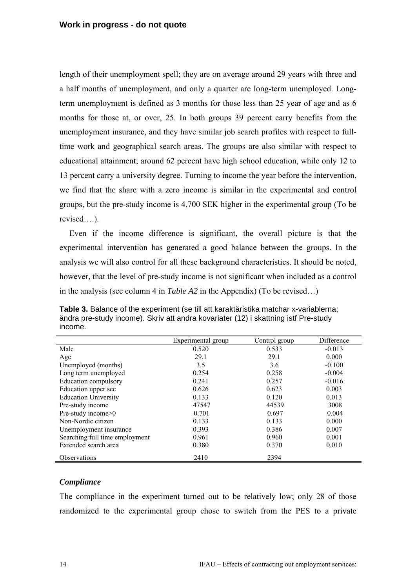length of their unemployment spell; they are on average around 29 years with three and a half months of unemployment, and only a quarter are long-term unemployed. Longterm unemployment is defined as 3 months for those less than 25 year of age and as 6 months for those at, or over, 25. In both groups 39 percent carry benefits from the unemployment insurance, and they have similar job search profiles with respect to fulltime work and geographical search areas. The groups are also similar with respect to educational attainment; around 62 percent have high school education, while only 12 to 13 percent carry a university degree. Turning to income the year before the intervention, we find that the share with a zero income is similar in the experimental and control groups, but the pre-study income is 4,700 SEK higher in the experimental group (To be revised….).

Even if the income difference is significant, the overall picture is that the experimental intervention has generated a good balance between the groups. In the analysis we will also control for all these background characteristics. It should be noted, however, that the level of pre-study income is not significant when included as a control in the analysis (see column 4 in *Table A2* in the Appendix) (To be revised…)

|                                | Experimental group | Control group | Difference |
|--------------------------------|--------------------|---------------|------------|
| Male                           | 0.520              | 0.533         | $-0.013$   |
| Age                            | 29.1               | 29.1          | 0.000      |
| Unemployed (months)            | 3.5                | 3.6           | $-0.100$   |
| Long term unemployed           | 0.254              | 0.258         | $-0.004$   |
| Education compulsory           | 0.241              | 0.257         | $-0.016$   |
| Education upper sec            | 0.626              | 0.623         | 0.003      |
| <b>Education University</b>    | 0.133              | 0.120         | 0.013      |
| Pre-study income               | 47547              | 44539         | 3008       |
| Pre-study income>0             | 0.701              | 0.697         | 0.004      |
| Non-Nordic citizen             | 0.133              | 0.133         | 0.000      |
| Unemployment insurance         | 0.393              | 0.386         | 0.007      |
| Searching full time employment | 0.961              | 0.960         | 0.001      |
| Extended search area           | 0.380              | 0.370         | 0.010      |
| <b>Observations</b>            | 2410               | 2394          |            |

**Table 3.** Balance of the experiment (se till att karaktäristika matchar x-variablerna; ändra pre-study income). Skriv att andra kovariater (12) i skattning istf Pre-study income.

### *Compliance*

The compliance in the experiment turned out to be relatively low; only 28 of those randomized to the experimental group chose to switch from the PES to a private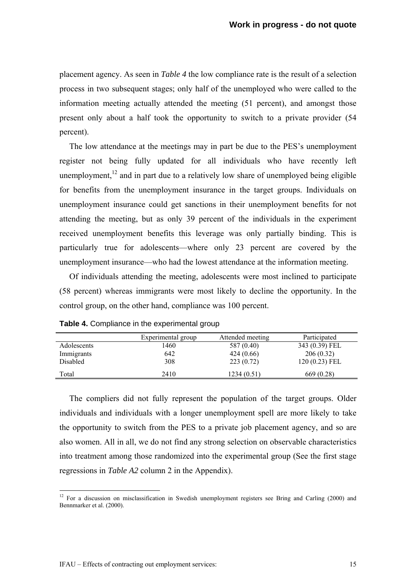placement agency. As seen in *Table 4* the low compliance rate is the result of a selection process in two subsequent stages; only half of the unemployed who were called to the information meeting actually attended the meeting (51 percent), and amongst those present only about a half took the opportunity to switch to a private provider (54 percent).

The low attendance at the meetings may in part be due to the PES's unemployment register not being fully updated for all individuals who have recently left unemployment,<sup>12</sup> and in part due to a relatively low share of unemployed being eligible for benefits from the unemployment insurance in the target groups. Individuals on unemployment insurance could get sanctions in their unemployment benefits for not attending the meeting, but as only 39 percent of the individuals in the experiment received unemployment benefits this leverage was only partially binding. This is particularly true for adolescents—where only 23 percent are covered by the unemployment insurance—who had the lowest attendance at the information meeting.

Of individuals attending the meeting, adolescents were most inclined to participate (58 percent) whereas immigrants were most likely to decline the opportunity. In the control group, on the other hand, compliance was 100 percent.

|                 | Experimental group | Attended meeting | Participated    |
|-----------------|--------------------|------------------|-----------------|
| Adolescents     | 1460               | 587 (0.40)       | 343 (0.39) FEL  |
| Immigrants      | 642                | 424 (0.66)       | 206(0.32)       |
| <b>Disabled</b> | 308                | 223(0.72)        | $120(0.23)$ FEL |
| Total           | 2410               | 1234 (0.51)      | 669 (0.28)      |

**Table 4.** Compliance in the experimental group

The compliers did not fully represent the population of the target groups. Older individuals and individuals with a longer unemployment spell are more likely to take the opportunity to switch from the PES to a private job placement agency, and so are also women. All in all, we do not find any strong selection on observable characteristics into treatment among those randomized into the experimental group (See the first stage regressions in *Table A2* column 2 in the Appendix).

1

 $12$  For a discussion on misclassification in Swedish unemployment registers see Bring and Carling (2000) and Bennmarker et al. (2000).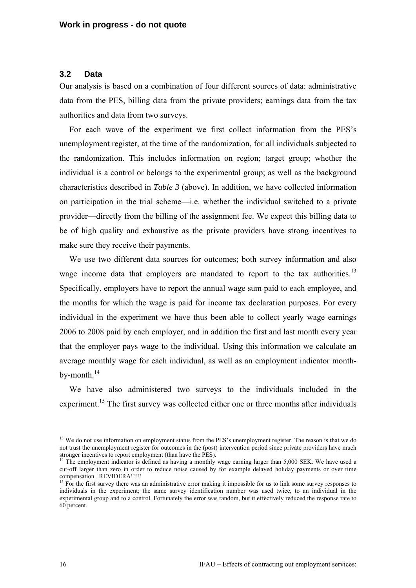### **3.2 Data**

Our analysis is based on a combination of four different sources of data: administrative data from the PES, billing data from the private providers; earnings data from the tax authorities and data from two surveys.

For each wave of the experiment we first collect information from the PES's unemployment register, at the time of the randomization, for all individuals subjected to the randomization. This includes information on region; target group; whether the individual is a control or belongs to the experimental group; as well as the background characteristics described in *Table 3* (above). In addition, we have collected information on participation in the trial scheme—i.e. whether the individual switched to a private provider—directly from the billing of the assignment fee. We expect this billing data to be of high quality and exhaustive as the private providers have strong incentives to make sure they receive their payments.

We use two different data sources for outcomes; both survey information and also wage income data that employers are mandated to report to the tax authorities.<sup>13</sup> Specifically, employers have to report the annual wage sum paid to each employee, and the months for which the wage is paid for income tax declaration purposes. For every individual in the experiment we have thus been able to collect yearly wage earnings 2006 to 2008 paid by each employer, and in addition the first and last month every year that the employer pays wage to the individual. Using this information we calculate an average monthly wage for each individual, as well as an employment indicator monthby-month. $^{14}$ 

We have also administered two surveys to the individuals included in the experiment.<sup>15</sup> The first survey was collected either one or three months after individuals

<u>.</u>

<sup>&</sup>lt;sup>13</sup> We do not use information on employment status from the PES's unemployment register. The reason is that we do not trust the unemployment register for outcomes in the (post) intervention period since private providers have much stronger incentives to report employment (than have the PES).<br><sup>14</sup> The employment indicator is defined as having a monthly wage earning larger than 5,000 SEK. We have used a

cut-off larger than zero in order to reduce noise caused by for example delayed holiday payments or over time compensation. REVIDERA!!!!!

<sup>&</sup>lt;sup>15</sup> For the first survey there was an administrative error making it impossible for us to link some survey responses to individuals in the experiment; the same survey identification number was used twice, to an individual in the experimental group and to a control. Fortunately the error was random, but it effectively reduced the response rate to 60 percent.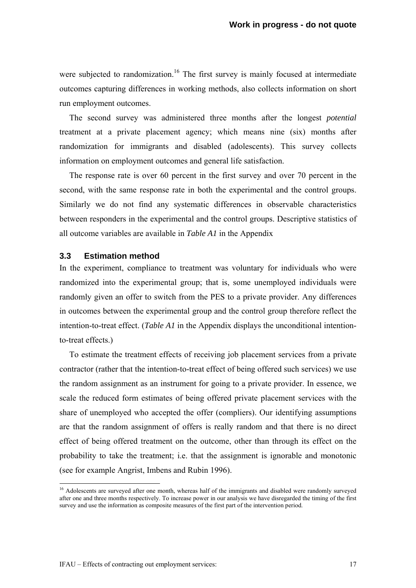were subjected to randomization.<sup>16</sup> The first survey is mainly focused at intermediate outcomes capturing differences in working methods, also collects information on short run employment outcomes.

The second survey was administered three months after the longest *potential* treatment at a private placement agency; which means nine (six) months after randomization for immigrants and disabled (adolescents). This survey collects information on employment outcomes and general life satisfaction.

The response rate is over 60 percent in the first survey and over 70 percent in the second, with the same response rate in both the experimental and the control groups. Similarly we do not find any systematic differences in observable characteristics between responders in the experimental and the control groups. Descriptive statistics of all outcome variables are available in *Table A1* in the Appendix

# **3.3 Estimation method**

In the experiment, compliance to treatment was voluntary for individuals who were randomized into the experimental group; that is, some unemployed individuals were randomly given an offer to switch from the PES to a private provider. Any differences in outcomes between the experimental group and the control group therefore reflect the intention-to-treat effect. (*Table A1* in the Appendix displays the unconditional intentionto-treat effects.)

To estimate the treatment effects of receiving job placement services from a private contractor (rather that the intention-to-treat effect of being offered such services) we use the random assignment as an instrument for going to a private provider. In essence, we scale the reduced form estimates of being offered private placement services with the share of unemployed who accepted the offer (compliers). Our identifying assumptions are that the random assignment of offers is really random and that there is no direct effect of being offered treatment on the outcome, other than through its effect on the probability to take the treatment; i.e. that the assignment is ignorable and monotonic (see for example Angrist, Imbens and Rubin 1996).

<u>.</u>

<sup>&</sup>lt;sup>16</sup> Adolescents are surveyed after one month, whereas half of the immigrants and disabled were randomly surveyed after one and three months respectively. To increase power in our analysis we have disregarded the timing of the first survey and use the information as composite measures of the first part of the intervention period.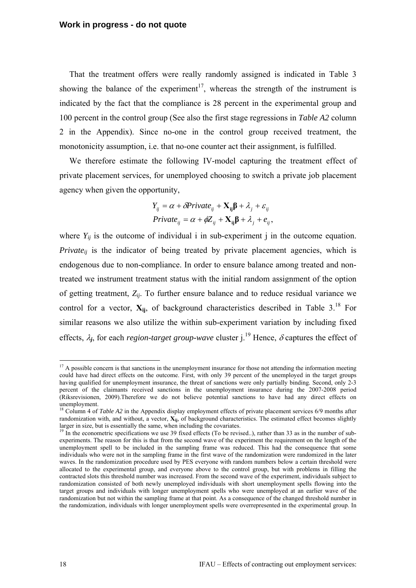That the treatment offers were really randomly assigned is indicated in Table 3 showing the balance of the experiment<sup>17</sup>, whereas the strength of the instrument is indicated by the fact that the compliance is 28 percent in the experimental group and 100 percent in the control group (See also the first stage regressions in *Table A2* column 2 in the Appendix). Since no-one in the control group received treatment, the monotonicity assumption, i.e. that no-one counter act their assignment, is fulfilled.

We therefore estimate the following IV-model capturing the treatment effect of private placement services, for unemployed choosing to switch a private job placement agency when given the opportunity,

$$
Y_{ij} = \alpha + \delta Private_{ij} + \mathbf{X}_{ij}\boldsymbol{\beta} + \lambda_j + \varepsilon_{ij}
$$
  
Private<sub>ij</sub> =  $\alpha + \phi Z_{ij} + \mathbf{X}_{ij}\boldsymbol{\beta} + \lambda_j + e_{ij}$ ,

where  $Y_{ii}$  is the outcome of individual i in sub-experiment j in the outcome equation. *Private<sub>ii</sub>* is the indicator of being treated by private placement agencies, which is endogenous due to non-compliance. In order to ensure balance among treated and nontreated we instrument treatment status with the initial random assignment of the option of getting treatment,  $Z_{ii}$ . To further ensure balance and to reduce residual variance we control for a vector,  $\mathbf{X}_{ij}$ , of background characteristics described in Table 3.<sup>18</sup> For similar reasons we also utilize the within sub-experiment variation by including fixed effects,  $\lambda_i$ , for each *region-target group-wave* cluster  $i^{19}$  Hence,  $\delta$  captures the effect of

1

<sup>&</sup>lt;sup>17</sup> A possible concern is that sanctions in the unemployment insurance for those not attending the information meeting could have had direct effects on the outcome. First, with only 39 percent of the unemployed in the target groups having qualified for unemployment insurance, the threat of sanctions were only partially binding. Second, only 2-3 percent of the claimants received sanctions in the unemployment insurance during the 2007-2008 period (Riksrevisionen, 2009).Therefore we do not believe potential sanctions to have had any direct effects on unemployment.

<sup>&</sup>lt;sup>18</sup> Column 4 of *Table A2* in the Appendix display employment effects of private placement services 6/9 months after randomization with, and without, a vector,  $\mathbf{X}_{ii}$ , of background characteristics. The estimated effect becomes slightly larger in size, but is essentially the same, when including the covariates.

<sup>&</sup>lt;sup>19</sup> In the econometric specifications we use 39 fixed effects (To be revised..), rather than 33 as in the number of subexperiments. The reason for this is that from the second wave of the experiment the requirement on the length of the unemployment spell to be included in the sampling frame was reduced. This had the consequence that some individuals who were not in the sampling frame in the first wave of the randomization were randomized in the later waves. In the randomization procedure used by PES everyone with random numbers below a certain threshold were allocated to the experimental group, and everyone above to the control group, but with problems in filling the contracted slots this threshold number was increased. From the second wave of the experiment, individuals subject to randomization consisted of both newly unemployed individuals with short unemployment spells flowing into the target groups and individuals with longer unemployment spells who were unemployed at an earlier wave of the randomization but not within the sampling frame at that point. As a consequence of the changed threshold number in the randomization, individuals with longer unemployment spells were overrepresented in the experimental group. In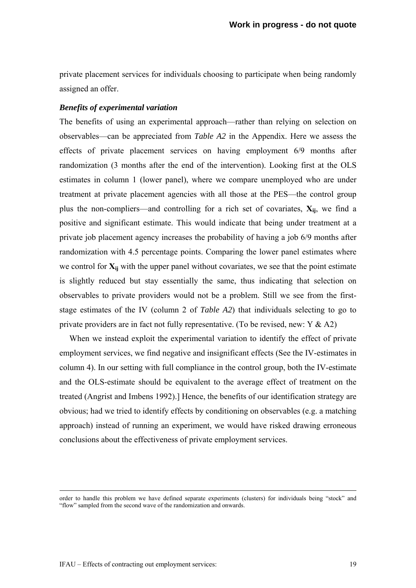private placement services for individuals choosing to participate when being randomly assigned an offer.

### *Benefits of experimental variation*

The benefits of using an experimental approach—rather than relying on selection on observables—can be appreciated from *Table A2* in the Appendix. Here we assess the effects of private placement services on having employment 6/9 months after randomization (3 months after the end of the intervention). Looking first at the OLS estimates in column 1 (lower panel), where we compare unemployed who are under treatment at private placement agencies with all those at the PES—the control group plus the non-compliers—and controlling for a rich set of covariates,  $X_{ij}$ , we find a positive and significant estimate. This would indicate that being under treatment at a private job placement agency increases the probability of having a job 6/9 months after randomization with 4.5 percentage points. Comparing the lower panel estimates where we control for  $X_{ii}$  with the upper panel without covariates, we see that the point estimate is slightly reduced but stay essentially the same, thus indicating that selection on observables to private providers would not be a problem. Still we see from the firststage estimates of the IV (column 2 of *Table A2*) that individuals selecting to go to private providers are in fact not fully representative. (To be revised, new:  $Y & A2$ )

When we instead exploit the experimental variation to identify the effect of private employment services, we find negative and insignificant effects (See the IV-estimates in column 4). In our setting with full compliance in the control group, both the IV-estimate and the OLS-estimate should be equivalent to the average effect of treatment on the treated (Angrist and Imbens 1992).] Hence, the benefits of our identification strategy are obvious; had we tried to identify effects by conditioning on observables (e.g. a matching approach) instead of running an experiment, we would have risked drawing erroneous conclusions about the effectiveness of private employment services.

order to handle this problem we have defined separate experiments (clusters) for individuals being "stock" and "flow" sampled from the second wave of the randomization and onwards.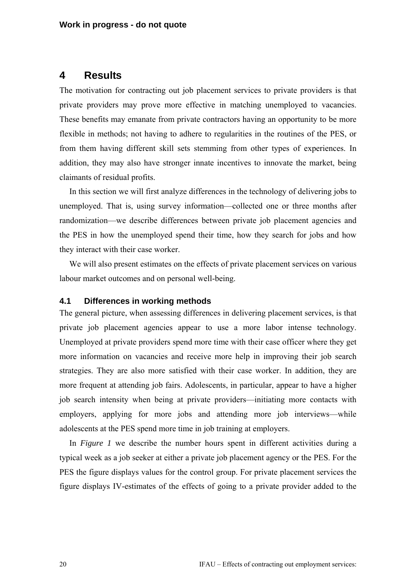# **4 Results**

The motivation for contracting out job placement services to private providers is that private providers may prove more effective in matching unemployed to vacancies. These benefits may emanate from private contractors having an opportunity to be more flexible in methods; not having to adhere to regularities in the routines of the PES, or from them having different skill sets stemming from other types of experiences. In addition, they may also have stronger innate incentives to innovate the market, being claimants of residual profits.

In this section we will first analyze differences in the technology of delivering jobs to unemployed. That is, using survey information—collected one or three months after randomization—we describe differences between private job placement agencies and the PES in how the unemployed spend their time, how they search for jobs and how they interact with their case worker.

We will also present estimates on the effects of private placement services on various labour market outcomes and on personal well-being.

#### **4.1 Differences in working methods**

The general picture, when assessing differences in delivering placement services, is that private job placement agencies appear to use a more labor intense technology. Unemployed at private providers spend more time with their case officer where they get more information on vacancies and receive more help in improving their job search strategies. They are also more satisfied with their case worker. In addition, they are more frequent at attending job fairs. Adolescents, in particular, appear to have a higher job search intensity when being at private providers—initiating more contacts with employers, applying for more jobs and attending more job interviews—while adolescents at the PES spend more time in job training at employers.

In *Figure 1* we describe the number hours spent in different activities during a typical week as a job seeker at either a private job placement agency or the PES. For the PES the figure displays values for the control group. For private placement services the figure displays IV-estimates of the effects of going to a private provider added to the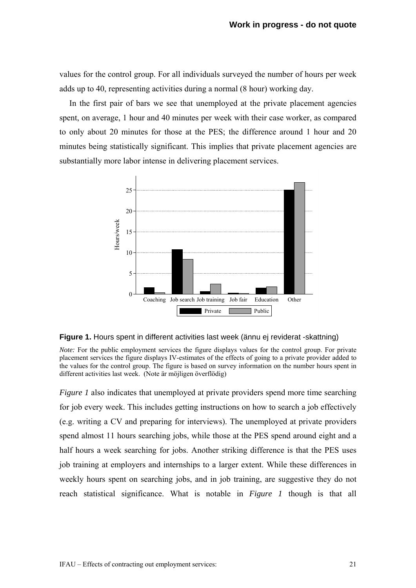values for the control group. For all individuals surveyed the number of hours per week adds up to 40, representing activities during a normal (8 hour) working day.

In the first pair of bars we see that unemployed at the private placement agencies spent, on average, 1 hour and 40 minutes per week with their case worker, as compared to only about 20 minutes for those at the PES; the difference around 1 hour and 20 minutes being statistically significant. This implies that private placement agencies are substantially more labor intense in delivering placement services.





*Note:* For the public employment services the figure displays values for the control group. For private placement services the figure displays IV-estimates of the effects of going to a private provider added to the values for the control group. The figure is based on survey information on the number hours spent in different activities last week. (Note är möjligen överflödig)

*Figure 1* also indicates that unemployed at private providers spend more time searching for job every week. This includes getting instructions on how to search a job effectively (e.g. writing a CV and preparing for interviews). The unemployed at private providers spend almost 11 hours searching jobs, while those at the PES spend around eight and a half hours a week searching for jobs. Another striking difference is that the PES uses job training at employers and internships to a larger extent. While these differences in weekly hours spent on searching jobs, and in job training, are suggestive they do not reach statistical significance. What is notable in *Figure 1* though is that all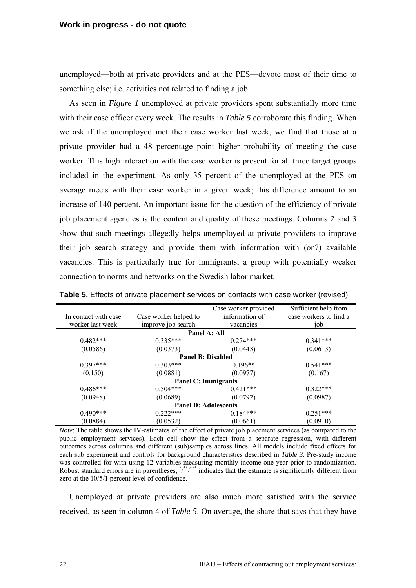unemployed—both at private providers and at the PES—devote most of their time to something else; i.e. activities not related to finding a job.

As seen in *Figure 1* unemployed at private providers spent substantially more time with their case officer every week. The results in *Table 5* corroborate this finding. When we ask if the unemployed met their case worker last week, we find that those at a private provider had a 48 percentage point higher probability of meeting the case worker. This high interaction with the case worker is present for all three target groups included in the experiment. As only 35 percent of the unemployed at the PES on average meets with their case worker in a given week; this difference amount to an increase of 140 percent. An important issue for the question of the efficiency of private job placement agencies is the content and quality of these meetings. Columns 2 and 3 show that such meetings allegedly helps unemployed at private providers to improve their job search strategy and provide them with information with (on?) available vacancies. This is particularly true for immigrants; a group with potentially weaker connection to norms and networks on the Swedish labor market.

|                      |                             | Case worker provided | Sufficient help from   |
|----------------------|-----------------------------|----------------------|------------------------|
| In contact with case | Case worker helped to       | information of       | case workers to find a |
| worker last week     | improve job search          | vacancies            | iob                    |
|                      | Panel A: All                |                      |                        |
| $0.482***$           | $0.335***$                  | $0.274***$           | $0.341***$             |
| (0.0586)             | (0.0373)                    | (0.0443)             | (0.0613)               |
|                      | <b>Panel B: Disabled</b>    |                      |                        |
| $0.397***$           | $0.303***$                  | $0.196**$            | $0.541***$             |
| (0.150)              | (0.0881)                    | (0.0977)             | (0.167)                |
|                      | <b>Panel C: Immigrants</b>  |                      |                        |
| $0.486***$           | $0.504***$                  | $0.421***$           | $0.322***$             |
| (0.0948)             | (0.0689)                    | (0.0792)             | (0.0987)               |
|                      | <b>Panel D: Adolescents</b> |                      |                        |
| $0.490***$           | $0.222***$                  | $0.184***$           | $0.251***$             |
| (0.0884)             | (0.0532)                    | (0.0661)             | (0.0910)               |

**Table 5.** Effects of private placement services on contacts with case worker (revised)

*Note*: The table shows the IV-estimates of the effect of private job placement services (as compared to the public employment services). Each cell show the effect from a separate regression, with different outcomes across columns and different (sub)samples across lines. All models include fixed effects for each sub experiment and controls for background characteristics described in *Table 3*. Pre-study income was controlled for with using 12 variables measuring monthly income one year prior to randomization. Robust standard errors are in parentheses,  $\frac{*}{s}$   $\frac{**}{s}$  indicates that the estimate is significantly different from zero at the 10/5/1 percent level of confidence.

Unemployed at private providers are also much more satisfied with the service received, as seen in column 4 of *Table 5*. On average, the share that says that they have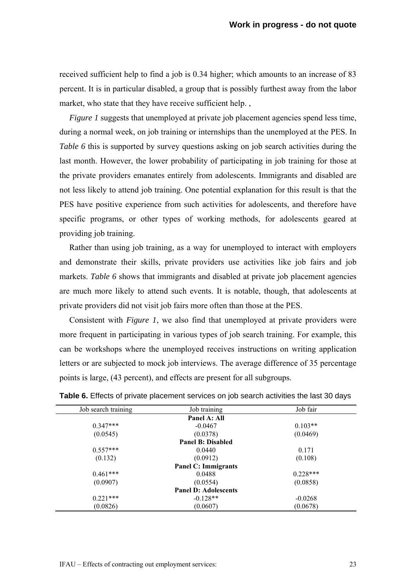received sufficient help to find a job is 0.34 higher; which amounts to an increase of 83 percent. It is in particular disabled, a group that is possibly furthest away from the labor market, who state that they have receive sufficient help.,

*Figure 1* suggests that unemployed at private job placement agencies spend less time, during a normal week, on job training or internships than the unemployed at the PES. In *Table 6* this is supported by survey questions asking on job search activities during the last month. However, the lower probability of participating in job training for those at the private providers emanates entirely from adolescents. Immigrants and disabled are not less likely to attend job training. One potential explanation for this result is that the PES have positive experience from such activities for adolescents, and therefore have specific programs, or other types of working methods, for adolescents geared at providing job training.

Rather than using job training, as a way for unemployed to interact with employers and demonstrate their skills, private providers use activities like job fairs and job markets. *Table 6* shows that immigrants and disabled at private job placement agencies are much more likely to attend such events. It is notable, though, that adolescents at private providers did not visit job fairs more often than those at the PES.

Consistent with *Figure 1*, we also find that unemployed at private providers were more frequent in participating in various types of job search training. For example, this can be workshops where the unemployed receives instructions on writing application letters or are subjected to mock job interviews. The average difference of 35 percentage points is large, (43 percent), and effects are present for all subgroups.

| Job search training | Job training                | Job fair   |
|---------------------|-----------------------------|------------|
|                     | Panel A: All                |            |
| $0.347***$          | $-0.0467$                   | $0.103**$  |
| (0.0545)            | (0.0378)                    | (0.0469)   |
|                     | <b>Panel B: Disabled</b>    |            |
| $0.557***$          | 0.0440                      | 0.171      |
| (0.132)             | (0.0912)                    | (0.108)    |
|                     | <b>Panel C: Immigrants</b>  |            |
| $0.461***$          | 0.0488                      | $0.228***$ |
| (0.0907)            | (0.0554)                    | (0.0858)   |
|                     | <b>Panel D: Adolescents</b> |            |
| $0.221***$          | $-0.128**$                  | $-0.0268$  |
| (0.0826)            | (0.0607)                    | (0.0678)   |

**Table 6.** Effects of private placement services on job search activities the last 30 days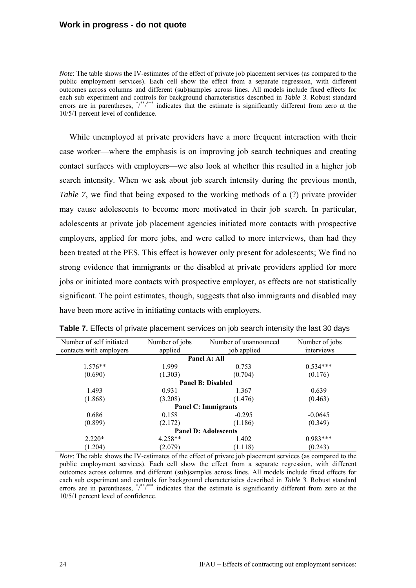*Note*: The table shows the IV-estimates of the effect of private job placement services (as compared to the public employment services). Each cell show the effect from a separate regression, with different outcomes across columns and different (sub)samples across lines. All models include fixed effects for each sub experiment and controls for background characteristics described in *Table 3*. Robust standard errors are in parentheses,  $\sqrt{*}$ <sup>\*\*</sup>/\*\*\* indicates that the estimate is significantly different from zero at the 10/5/1 percent level of confidence.

While unemployed at private providers have a more frequent interaction with their case worker—where the emphasis is on improving job search techniques and creating contact surfaces with employers—we also look at whether this resulted in a higher job search intensity. When we ask about job search intensity during the previous month, *Table 7*, we find that being exposed to the working methods of a (?) private provider may cause adolescents to become more motivated in their job search. In particular, adolescents at private job placement agencies initiated more contacts with prospective employers, applied for more jobs, and were called to more interviews, than had they been treated at the PES. This effect is however only present for adolescents; We find no strong evidence that immigrants or the disabled at private providers applied for more jobs or initiated more contacts with prospective employer, as effects are not statistically significant. The point estimates, though, suggests that also immigrants and disabled may have been more active in initiating contacts with employers.

| Number of self initiated    | Number of jobs | Number of unannounced    | Number of jobs |  |  |
|-----------------------------|----------------|--------------------------|----------------|--|--|
| contacts with employers     | applied        | job applied              | interviews     |  |  |
|                             |                | Panel A: All             |                |  |  |
| $1.576**$                   | 1.999          | 0.753                    | $0.534***$     |  |  |
| (0.690)                     | (1.303)        | (0.704)                  | (0.176)        |  |  |
|                             |                | <b>Panel B: Disabled</b> |                |  |  |
| 1.493                       | 0.931          | 1.367                    | 0.639          |  |  |
| (1.868)                     | (3.208)        | (1.476)                  | (0.463)        |  |  |
| <b>Panel C: Immigrants</b>  |                |                          |                |  |  |
| 0.686                       | 0.158          | $-0.295$                 | $-0.0645$      |  |  |
| (0.899)                     | (2.172)        | (1.186)                  | (0.349)        |  |  |
| <b>Panel D: Adolescents</b> |                |                          |                |  |  |
| $2.220*$                    | $4.258**$      | 1.402                    | $0.983***$     |  |  |
| (1.204)                     | (2.079)        | (1.118)                  | (0.243)        |  |  |

|  | Table 7. Effects of private placement services on job search intensity the last 30 days |  |
|--|-----------------------------------------------------------------------------------------|--|
|--|-----------------------------------------------------------------------------------------|--|

*Note*: The table shows the IV-estimates of the effect of private job placement services (as compared to the public employment services). Each cell show the effect from a separate regression, with different outcomes across columns and different (sub)samples across lines. All models include fixed effects for each sub experiment and controls for background characteristics described in *Table 3*. Robust standard errors are in parentheses,  $\sqrt{*}$ <sup>\*\*</sup>/<sup>\*\*\*</sup> indicates that the estimate is significantly different from zero at the 10/5/1 percent level of confidence.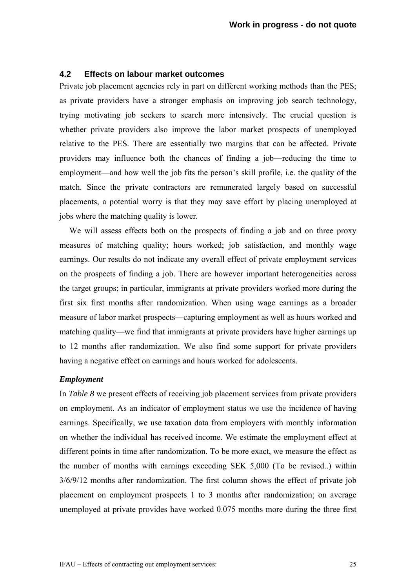# **4.2 Effects on labour market outcomes**

Private job placement agencies rely in part on different working methods than the PES; as private providers have a stronger emphasis on improving job search technology, trying motivating job seekers to search more intensively. The crucial question is whether private providers also improve the labor market prospects of unemployed relative to the PES. There are essentially two margins that can be affected. Private providers may influence both the chances of finding a job—reducing the time to employment—and how well the job fits the person's skill profile, i.e. the quality of the match. Since the private contractors are remunerated largely based on successful placements, a potential worry is that they may save effort by placing unemployed at jobs where the matching quality is lower.

We will assess effects both on the prospects of finding a job and on three proxy measures of matching quality; hours worked; job satisfaction, and monthly wage earnings. Our results do not indicate any overall effect of private employment services on the prospects of finding a job. There are however important heterogeneities across the target groups; in particular, immigrants at private providers worked more during the first six first months after randomization. When using wage earnings as a broader measure of labor market prospects—capturing employment as well as hours worked and matching quality—we find that immigrants at private providers have higher earnings up to 12 months after randomization. We also find some support for private providers having a negative effect on earnings and hours worked for adolescents.

#### *Employment*

In *Table 8* we present effects of receiving job placement services from private providers on employment. As an indicator of employment status we use the incidence of having earnings. Specifically, we use taxation data from employers with monthly information on whether the individual has received income. We estimate the employment effect at different points in time after randomization. To be more exact, we measure the effect as the number of months with earnings exceeding SEK 5,000 (To be revised..) within 3/6/9/12 months after randomization. The first column shows the effect of private job placement on employment prospects 1 to 3 months after randomization; on average unemployed at private provides have worked 0.075 months more during the three first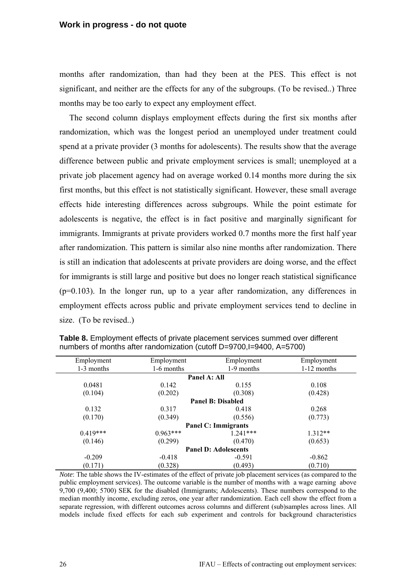months after randomization, than had they been at the PES. This effect is not significant, and neither are the effects for any of the subgroups. (To be revised..) Three months may be too early to expect any employment effect.

The second column displays employment effects during the first six months after randomization, which was the longest period an unemployed under treatment could spend at a private provider (3 months for adolescents). The results show that the average difference between public and private employment services is small; unemployed at a private job placement agency had on average worked 0.14 months more during the six first months, but this effect is not statistically significant. However, these small average effects hide interesting differences across subgroups. While the point estimate for adolescents is negative, the effect is in fact positive and marginally significant for immigrants. Immigrants at private providers worked 0.7 months more the first half year after randomization. This pattern is similar also nine months after randomization. There is still an indication that adolescents at private providers are doing worse, and the effect for immigrants is still large and positive but does no longer reach statistical significance (p=0.103). In the longer run, up to a year after randomization, any differences in employment effects across public and private employment services tend to decline in size. (To be revised..)

| Employment                  | Employment                 | Employment               | Employment    |  |  |  |
|-----------------------------|----------------------------|--------------------------|---------------|--|--|--|
| 1-3 months                  | 1-6 months                 | 1-9 months               | $1-12$ months |  |  |  |
|                             |                            | Panel A: All             |               |  |  |  |
| 0.0481                      | 0.142                      | 0.155                    | 0.108         |  |  |  |
| (0.104)                     | (0.202)                    | (0.308)                  | (0.428)       |  |  |  |
|                             |                            | <b>Panel B: Disabled</b> |               |  |  |  |
| 0.132                       | 0.317                      | 0.418                    | 0.268         |  |  |  |
| (0.170)                     | (0.349)                    | (0.556)                  | (0.773)       |  |  |  |
|                             | <b>Panel C: Immigrants</b> |                          |               |  |  |  |
| $0.419***$                  | $0.963***$                 | $1.241***$               | $1.312**$     |  |  |  |
| (0.146)                     | (0.299)                    | (0.470)                  | (0.653)       |  |  |  |
| <b>Panel D: Adolescents</b> |                            |                          |               |  |  |  |
| $-0.209$                    | $-0.418$                   | $-0.591$                 | $-0.862$      |  |  |  |
| (0.171)                     | (0.328)                    | (0.493)                  | (0.710)       |  |  |  |

**Table 8.** Employment effects of private placement services summed over different numbers of months after randomization (cutoff D=9700,I=9400, A=5700)

*Note*: The table shows the IV-estimates of the effect of private job placement services (as compared to the public employment services). The outcome variable is the number of months with a wage earning above 9,700 (9,400; 5700) SEK for the disabled (Immigrants; Adolescents). These numbers correspond to the median monthly income, excluding zeros, one year after randomization. Each cell show the effect from a separate regression, with different outcomes across columns and different (sub)samples across lines. All models include fixed effects for each sub experiment and controls for background characteristics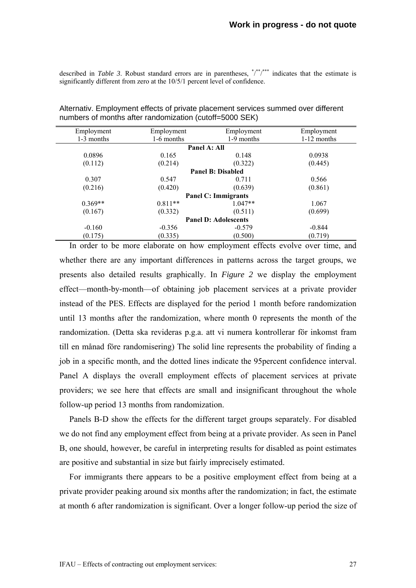described in *Table 3*. Robust standard errors are in parentheses,  $\sqrt{*}$ ,  $\sqrt{*}$  indicates that the estimate is significantly different from zero at the 10/5/1 percent level of confidence.

| Employment                  | Employment                 | Employment               | Employment    |  |  |  |
|-----------------------------|----------------------------|--------------------------|---------------|--|--|--|
| 1-3 months                  | 1-6 months                 | 1-9 months               | $1-12$ months |  |  |  |
|                             |                            | Panel A: All             |               |  |  |  |
| 0.0896                      | 0.165                      | 0.148                    | 0.0938        |  |  |  |
| (0.112)                     | (0.214)                    | (0.322)                  | (0.445)       |  |  |  |
|                             |                            | <b>Panel B: Disabled</b> |               |  |  |  |
| 0.307                       | 0.547                      | 0.711                    | 0.566         |  |  |  |
| (0.216)                     | (0.420)                    | (0.639)                  | (0.861)       |  |  |  |
|                             | <b>Panel C: Immigrants</b> |                          |               |  |  |  |
| $0.369**$                   | $0.811**$                  | $1.047**$                | 1.067         |  |  |  |
| (0.167)                     | (0.332)                    | (0.511)                  | (0.699)       |  |  |  |
| <b>Panel D: Adolescents</b> |                            |                          |               |  |  |  |
| $-0.160$                    | $-0.356$                   | $-0.579$                 | $-0.844$      |  |  |  |
| (0.175)                     | (0.335)                    | (0.500)                  | (0.719)       |  |  |  |

Alternativ. Employment effects of private placement services summed over different numbers of months after randomization (cutoff=5000 SEK)

In order to be more elaborate on how employment effects evolve over time, and whether there are any important differences in patterns across the target groups, we presents also detailed results graphically. In *Figure 2* we display the employment effect—month-by-month—of obtaining job placement services at a private provider instead of the PES. Effects are displayed for the period 1 month before randomization until 13 months after the randomization, where month 0 represents the month of the randomization. (Detta ska revideras p.g.a. att vi numera kontrollerar för inkomst fram till en månad före randomisering) The solid line represents the probability of finding a job in a specific month, and the dotted lines indicate the 95percent confidence interval. Panel A displays the overall employment effects of placement services at private providers; we see here that effects are small and insignificant throughout the whole follow-up period 13 months from randomization.

Panels B-D show the effects for the different target groups separately. For disabled we do not find any employment effect from being at a private provider. As seen in Panel B, one should, however, be careful in interpreting results for disabled as point estimates are positive and substantial in size but fairly imprecisely estimated.

For immigrants there appears to be a positive employment effect from being at a private provider peaking around six months after the randomization; in fact, the estimate at month 6 after randomization is significant. Over a longer follow-up period the size of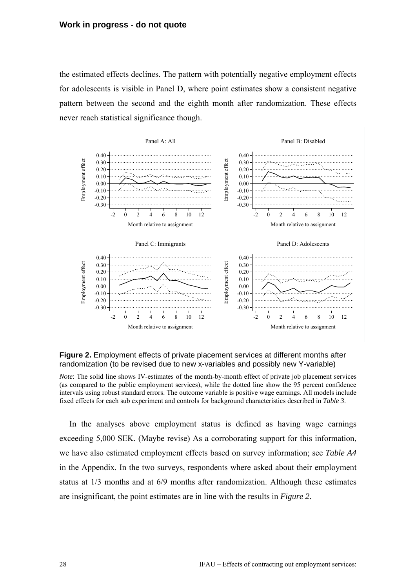the estimated effects declines. The pattern with potentially negative employment effects for adolescents is visible in Panel D, where point estimates show a consistent negative pattern between the second and the eighth month after randomization. These effects never reach statistical significance though.



#### **Figure 2.** Employment effects of private placement services at different months after randomization (to be revised due to new x-variables and possibly new Y-variable)

*Note*: The solid line shows IV-estimates of the month-by-month effect of private job placement services (as compared to the public employment services), while the dotted line show the 95 percent confidence intervals using robust standard errors. The outcome variable is positive wage earnings. All models include fixed effects for each sub experiment and controls for background characteristics described in *Table 3*.

In the analyses above employment status is defined as having wage earnings exceeding 5,000 SEK. (Maybe revise) As a corroborating support for this information, we have also estimated employment effects based on survey information; see *Table A4* in the Appendix. In the two surveys, respondents where asked about their employment status at 1/3 months and at 6/9 months after randomization. Although these estimates are insignificant, the point estimates are in line with the results in *Figure 2*.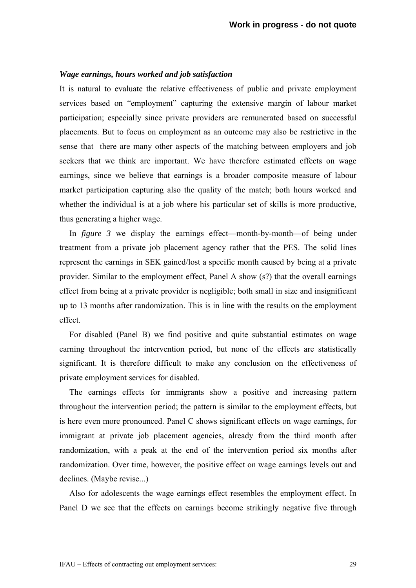#### *Wage earnings, hours worked and job satisfaction*

It is natural to evaluate the relative effectiveness of public and private employment services based on "employment" capturing the extensive margin of labour market participation; especially since private providers are remunerated based on successful placements. But to focus on employment as an outcome may also be restrictive in the sense that there are many other aspects of the matching between employers and job seekers that we think are important. We have therefore estimated effects on wage earnings, since we believe that earnings is a broader composite measure of labour market participation capturing also the quality of the match; both hours worked and whether the individual is at a job where his particular set of skills is more productive, thus generating a higher wage.

In *figure 3* we display the earnings effect—month-by-month—of being under treatment from a private job placement agency rather that the PES. The solid lines represent the earnings in SEK gained/lost a specific month caused by being at a private provider. Similar to the employment effect, Panel A show (s?) that the overall earnings effect from being at a private provider is negligible; both small in size and insignificant up to 13 months after randomization. This is in line with the results on the employment effect.

For disabled (Panel B) we find positive and quite substantial estimates on wage earning throughout the intervention period, but none of the effects are statistically significant. It is therefore difficult to make any conclusion on the effectiveness of private employment services for disabled.

The earnings effects for immigrants show a positive and increasing pattern throughout the intervention period; the pattern is similar to the employment effects, but is here even more pronounced. Panel C shows significant effects on wage earnings, for immigrant at private job placement agencies, already from the third month after randomization, with a peak at the end of the intervention period six months after randomization. Over time, however, the positive effect on wage earnings levels out and declines. (Maybe revise...)

Also for adolescents the wage earnings effect resembles the employment effect. In Panel D we see that the effects on earnings become strikingly negative five through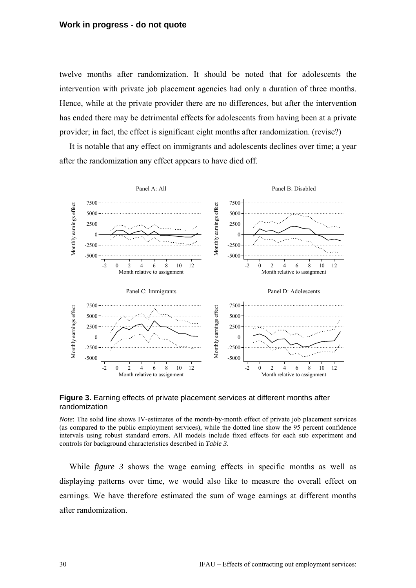#### **Work in progress - do not quote**

twelve months after randomization. It should be noted that for adolescents the intervention with private job placement agencies had only a duration of three months. Hence, while at the private provider there are no differences, but after the intervention has ended there may be detrimental effects for adolescents from having been at a private provider; in fact, the effect is significant eight months after randomization. (revise?)

It is notable that any effect on immigrants and adolescents declines over time; a year after the randomization any effect appears to have died off.



**Figure 3.** Earning effects of private placement services at different months after randomization

*Note*: The solid line shows IV-estimates of the month-by-month effect of private job placement services (as compared to the public employment services), while the dotted line show the 95 percent confidence intervals using robust standard errors. All models include fixed effects for each sub experiment and controls for background characteristics described in *Table 3*.

While *figure 3* shows the wage earning effects in specific months as well as displaying patterns over time, we would also like to measure the overall effect on earnings. We have therefore estimated the sum of wage earnings at different months after randomization.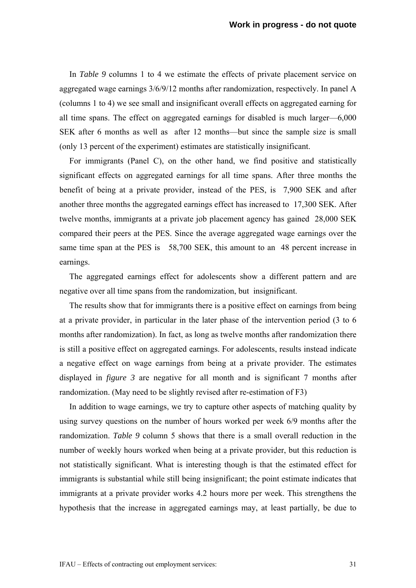In *Table 9* columns 1 to 4 we estimate the effects of private placement service on aggregated wage earnings 3/6/9/12 months after randomization, respectively. In panel A (columns 1 to 4) we see small and insignificant overall effects on aggregated earning for all time spans. The effect on aggregated earnings for disabled is much larger—6,000 SEK after 6 months as well as after 12 months—but since the sample size is small (only 13 percent of the experiment) estimates are statistically insignificant.

For immigrants (Panel C), on the other hand, we find positive and statistically significant effects on aggregated earnings for all time spans. After three months the benefit of being at a private provider, instead of the PES, is 7,900 SEK and after another three months the aggregated earnings effect has increased to 17,300 SEK. After twelve months, immigrants at a private job placement agency has gained 28,000 SEK compared their peers at the PES. Since the average aggregated wage earnings over the same time span at the PES is 58,700 SEK, this amount to an 48 percent increase in earnings.

The aggregated earnings effect for adolescents show a different pattern and are negative over all time spans from the randomization, but insignificant.

The results show that for immigrants there is a positive effect on earnings from being at a private provider, in particular in the later phase of the intervention period (3 to 6 months after randomization). In fact, as long as twelve months after randomization there is still a positive effect on aggregated earnings. For adolescents, results instead indicate a negative effect on wage earnings from being at a private provider. The estimates displayed in *figure 3* are negative for all month and is significant 7 months after randomization. (May need to be slightly revised after re-estimation of F3)

In addition to wage earnings, we try to capture other aspects of matching quality by using survey questions on the number of hours worked per week 6/9 months after the randomization. *Table 9* column 5 shows that there is a small overall reduction in the number of weekly hours worked when being at a private provider, but this reduction is not statistically significant. What is interesting though is that the estimated effect for immigrants is substantial while still being insignificant; the point estimate indicates that immigrants at a private provider works 4.2 hours more per week. This strengthens the hypothesis that the increase in aggregated earnings may, at least partially, be due to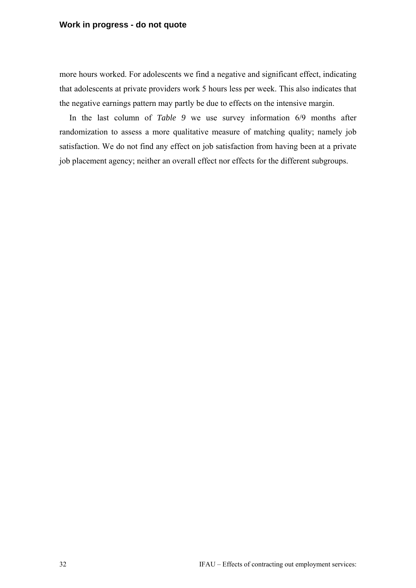### **Work in progress - do not quote**

more hours worked. For adolescents we find a negative and significant effect, indicating that adolescents at private providers work 5 hours less per week. This also indicates that the negative earnings pattern may partly be due to effects on the intensive margin.

In the last column of *Table 9* we use survey information 6/9 months after randomization to assess a more qualitative measure of matching quality; namely job satisfaction. We do not find any effect on job satisfaction from having been at a private job placement agency; neither an overall effect nor effects for the different subgroups.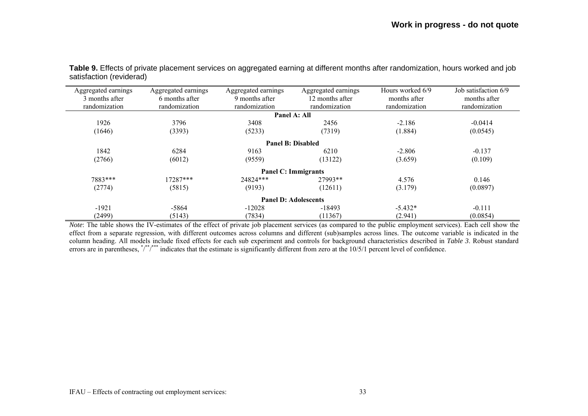| Aggregated earnings<br>3 months after<br>randomization | Aggregated earnings<br>6 months after<br>randomization | Aggregated earnings<br>9 months after<br>randomization | Aggregated earnings<br>12 months after<br>randomization | Hours worked 6/9<br>months after<br>randomization | Job satisfaction 6/9<br>months after<br>randomization |
|--------------------------------------------------------|--------------------------------------------------------|--------------------------------------------------------|---------------------------------------------------------|---------------------------------------------------|-------------------------------------------------------|
|                                                        |                                                        |                                                        | Panel A: All                                            |                                                   |                                                       |
| 1926                                                   | 3796                                                   | 3408                                                   | 2456                                                    | $-2.186$                                          | $-0.0414$                                             |
| (1646)                                                 | (3393)                                                 | (5233)                                                 | (7319)                                                  | (1.884)                                           | (0.0545)                                              |
|                                                        |                                                        |                                                        | Panel B: Disabled                                       |                                                   |                                                       |
| 1842                                                   | 6284                                                   | 9163                                                   | 6210                                                    | $-2.806$                                          | $-0.137$                                              |
| (2766)                                                 | (6012)                                                 | (9559)                                                 | (13122)                                                 | (3.659)                                           | (0.109)                                               |
|                                                        |                                                        |                                                        | <b>Panel C: Immigrants</b>                              |                                                   |                                                       |
| 7883***                                                | 17287***                                               | 24824***                                               | 27993**                                                 | 4.576                                             | 0.146                                                 |
| (2774)                                                 | (5815)                                                 | (9193)                                                 | (12611)                                                 | (3.179)                                           | (0.0897)                                              |
| <b>Panel D: Adolescents</b>                            |                                                        |                                                        |                                                         |                                                   |                                                       |
| $-1921$                                                | -5864                                                  | $-12028$                                               | $-18493$                                                | $-5.432*$                                         | $-0.111$                                              |
| (2499)                                                 | (5143)                                                 | (7834)                                                 | (11367)                                                 | (2.941)                                           | (0.0854)                                              |

**Table 9.** Effects of private placement services on aggregated earning at different months after randomization, hours worked and job satisfaction (reviderad)

*Note*: The table shows the IV-estimates of the effect of private job placement services (as compared to the public employment services). Each cell show the effect from a separate regression, with different outcomes across columns and different (sub)samples across lines. The outcome variable is indicated in the column heading. All models include fixed effects for each sub experiment and controls for background characteristics described in *Table 3*. Robust standard errors are in parentheses, \*/\*\*/\*\*\*\* indicates that the estimate is significantly different from zero at the 10/5/1 percent level of confidence.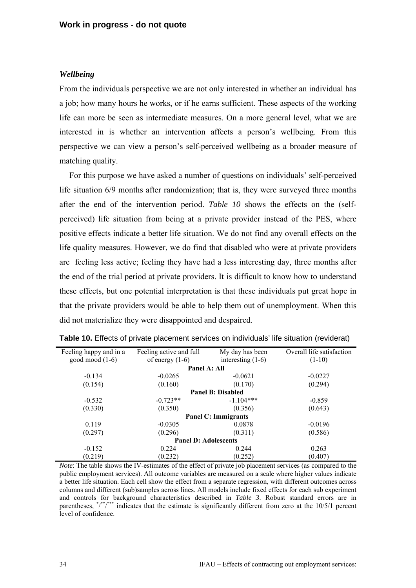#### *Wellbeing*

From the individuals perspective we are not only interested in whether an individual has a job; how many hours he works, or if he earns sufficient. These aspects of the working life can more be seen as intermediate measures. On a more general level, what we are interested in is whether an intervention affects a person's wellbeing. From this perspective we can view a person's self-perceived wellbeing as a broader measure of matching quality.

For this purpose we have asked a number of questions on individuals' self-perceived life situation 6/9 months after randomization; that is, they were surveyed three months after the end of the intervention period. *Table 10* shows the effects on the (selfperceived) life situation from being at a private provider instead of the PES, where positive effects indicate a better life situation. We do not find any overall effects on the life quality measures. However, we do find that disabled who were at private providers are feeling less active; feeling they have had a less interesting day, three months after the end of the trial period at private providers. It is difficult to know how to understand these effects, but one potential interpretation is that these individuals put great hope in that the private providers would be able to help them out of unemployment. When this did not materialize they were disappointed and despaired.

| Feeling happy and in a      | Feeling active and full<br>My day has been |             | Overall life satisfaction |  |  |
|-----------------------------|--------------------------------------------|-------------|---------------------------|--|--|
| good mood $(1-6)$           | interesting $(1-6)$<br>of energy $(1-6)$   |             | $(1-10)$                  |  |  |
| Panel A: All                |                                            |             |                           |  |  |
| $-0.134$                    | $-0.0265$                                  | $-0.0621$   | $-0.0227$                 |  |  |
| (0.154)                     | (0.160)                                    | (0.170)     | (0.294)                   |  |  |
| <b>Panel B: Disabled</b>    |                                            |             |                           |  |  |
| $-0.532$                    | $-0.723**$                                 | $-1.104***$ | $-0.859$                  |  |  |
| (0.330)                     | (0.350)                                    | (0.356)     | (0.643)                   |  |  |
| <b>Panel C: Immigrants</b>  |                                            |             |                           |  |  |
| 0.119                       | $-0.0305$                                  | 0.0878      | $-0.0196$                 |  |  |
| (0.297)                     | (0.296)                                    | (0.311)     | (0.586)                   |  |  |
| <b>Panel D: Adolescents</b> |                                            |             |                           |  |  |
| $-0.152$                    | 0.224                                      | 0.244       | 0.263                     |  |  |
| (0.219)                     | (0.232)                                    | (0.252)     | (0.407)                   |  |  |

**Table 10.** Effects of private placement services on individuals' life situation (reviderat)

*Note*: The table shows the IV-estimates of the effect of private job placement services (as compared to the public employment services). All outcome variables are measured on a scale where higher values indicate a better life situation. Each cell show the effect from a separate regression, with different outcomes across columns and different (sub)samples across lines. All models include fixed effects for each sub experiment and controls for background characteristics described in *Table 3*. Robust standard errors are in parentheses, \*/\*\*/\*\*\* indicates that the estimate is significantly different from zero at the 10/5/1 percent level of confidence.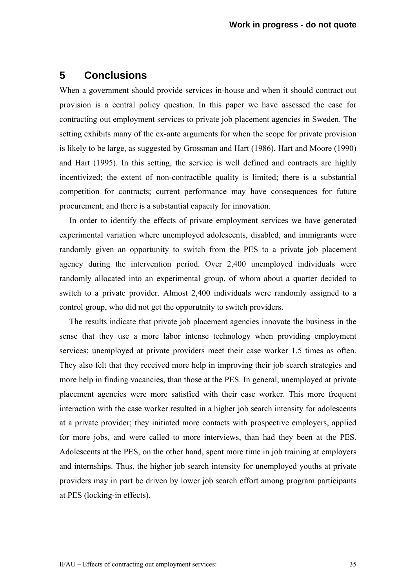# **5 Conclusions**

When a government should provide services in-house and when it should contract out provision is a central policy question. In this paper we have assessed the case for contracting out employment services to private job placement agencies in Sweden. The setting exhibits many of the ex-ante arguments for when the scope for private provision is likely to be large, as suggested by Grossman and Hart (1986), Hart and Moore (1990) and Hart (1995). In this setting, the service is well defined and contracts are highly incentivized; the extent of non-contractible quality is limited; there is a substantial competition for contracts; current performance may have consequences for future procurement; and there is a substantial capacity for innovation.

In order to identify the effects of private employment services we have generated experimental variation where unemployed adolescents, disabled, and immigrants were randomly given an opportunity to switch from the PES to a private job placement agency during the intervention period. Over 2,400 unemployed individuals were randomly allocated into an experimental group, of whom about a quarter decided to switch to a private provider. Almost 2,400 individuals were randomly assigned to a control group, who did not get the opporutnity to switch providers.

The results indicate that private job placement agencies innovate the business in the sense that they use a more labor intense technology when providing employment services; unemployed at private providers meet their case worker 1.5 times as often. They also felt that they received more help in improving their job search strategies and more help in finding vacancies, than those at the PES. In general, unemployed at private placement agencies were more satisfied with their case worker. This more frequent interaction with the case worker resulted in a higher job search intensity for adolescents at a private provider; they initiated more contacts with prospective employers, applied for more jobs, and were called to more interviews, than had they been at the PES. Adolescents at the PES, on the other hand, spent more time in job training at employers and internships. Thus, the higher job search intensity for unemployed youths at private providers may in part be driven by lower job search effort among program participants at PES (locking-in effects).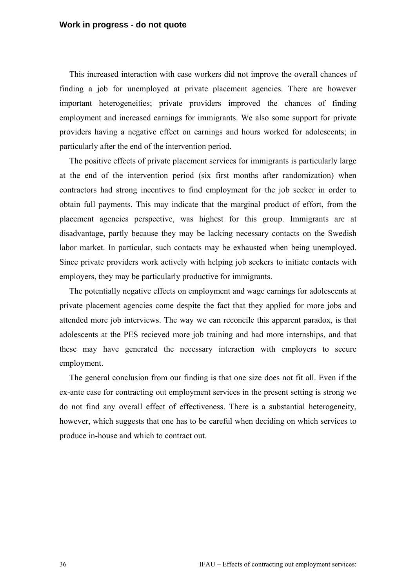This increased interaction with case workers did not improve the overall chances of finding a job for unemployed at private placement agencies. There are however important heterogeneities; private providers improved the chances of finding employment and increased earnings for immigrants. We also some support for private providers having a negative effect on earnings and hours worked for adolescents; in particularly after the end of the intervention period.

The positive effects of private placement services for immigrants is particularly large at the end of the intervention period (six first months after randomization) when contractors had strong incentives to find employment for the job seeker in order to obtain full payments. This may indicate that the marginal product of effort, from the placement agencies perspective, was highest for this group. Immigrants are at disadvantage, partly because they may be lacking necessary contacts on the Swedish labor market. In particular, such contacts may be exhausted when being unemployed. Since private providers work actively with helping job seekers to initiate contacts with employers, they may be particularly productive for immigrants.

The potentially negative effects on employment and wage earnings for adolescents at private placement agencies come despite the fact that they applied for more jobs and attended more job interviews. The way we can reconcile this apparent paradox, is that adolescents at the PES recieved more job training and had more internships, and that these may have generated the necessary interaction with employers to secure employment.

The general conclusion from our finding is that one size does not fit all. Even if the ex-ante case for contracting out employment services in the present setting is strong we do not find any overall effect of effectiveness. There is a substantial heterogeneity, however, which suggests that one has to be careful when deciding on which services to produce in-house and which to contract out.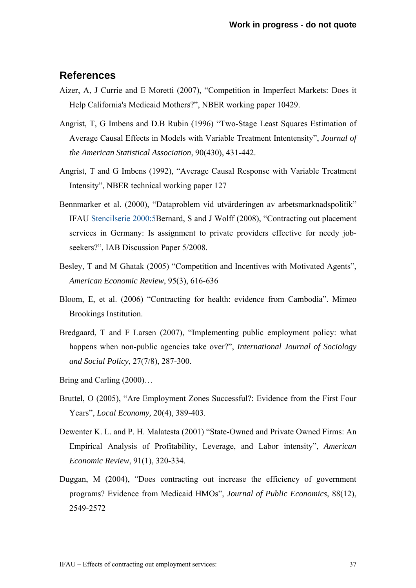# **References**

- Aizer, A, J Currie and E Moretti (2007), "Competition in Imperfect Markets: Does it Help California's Medicaid Mothers?", NBER working paper 10429.
- Angrist, T, G Imbens and D.B Rubin (1996) "Two-Stage Least Squares Estimation of Average Causal Effects in Models with Variable Treatment Intentensity", *Journal of the American Statistical Association*, 90(430), 431-442.
- Angrist, T and G Imbens (1992), "Average Causal Response with Variable Treatment Intensity", NBER technical working paper 127
- Bennmarker et al. (2000), "Dataproblem vid utvärderingen av arbetsmarknadspolitik" IFAU Stencilserie 2000:5Bernard, S and J Wolff (2008), "Contracting out placement services in Germany: Is assignment to private providers effective for needy jobseekers?", IAB Discussion Paper 5/2008.
- Besley, T and M Ghatak (2005) "Competition and Incentives with Motivated Agents", *American Economic Review*, 95(3), 616-636
- Bloom, E, et al. (2006) "Contracting for health: evidence from Cambodia". Mimeo Brookings Institution.
- Bredgaard, T and F Larsen (2007), "Implementing public employment policy: what happens when non-public agencies take over?", *International Journal of Sociology and Social Policy*, 27(7/8), 287-300.
- Bring and Carling (2000)…
- Bruttel, O (2005), "Are Employment Zones Successful?: Evidence from the First Four Years", *Local Economy,* 20(4), 389-403.
- Dewenter K. L. and P. H. Malatesta (2001) "State-Owned and Private Owned Firms: An Empirical Analysis of Profitability, Leverage, and Labor intensity", *American Economic Review*, 91(1), 320-334.
- Duggan, M (2004), "Does contracting out increase the efficiency of government programs? Evidence from Medicaid HMOs", *Journal of Public Economics*, 88(12), 2549-2572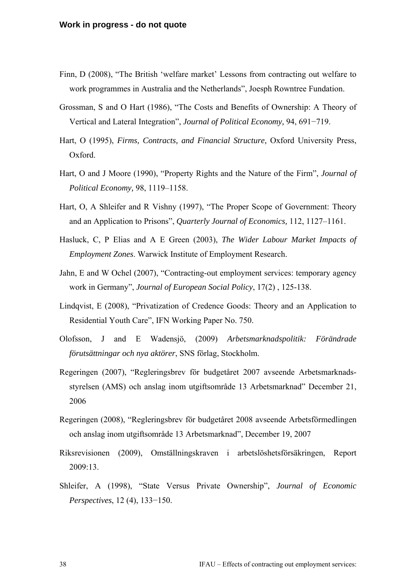- Finn, D (2008), "The British 'welfare market' Lessons from contracting out welfare to work programmes in Australia and the Netherlands", Joesph Rowntree Fundation.
- Grossman, S and O Hart (1986), "The Costs and Benefits of Ownership: A Theory of Vertical and Lateral Integration", *Journal of Political Economy,* 94, 691−719.
- Hart, O (1995), *Firms, Contracts, and Financial Structure,* Oxford University Press, Oxford.
- Hart, O and J Moore (1990), "Property Rights and the Nature of the Firm", *Journal of Political Economy,* 98, 1119–1158.
- Hart, O, A Shleifer and R Vishny (1997), "The Proper Scope of Government: Theory and an Application to Prisons", *Quarterly Journal of Economics,* 112, 1127–1161.
- Hasluck, C, P Elias and A E Green (2003), *The Wider Labour Market Impacts of Employment Zones*. Warwick Institute of Employment Research.
- Jahn, E and W Ochel (2007), "Contracting-out employment services: temporary agency work in Germany", *Journal of European Social Policy*, 17(2) , 125-138.
- Lindqvist, E (2008), "Privatization of Credence Goods: Theory and an Application to Residential Youth Care", IFN Working Paper No. 750.
- Olofsson, J and E Wadensjö, (2009) *Arbetsmarknadspolitik: Förändrade förutsättningar och nya aktörer*, SNS förlag, Stockholm.
- Regeringen (2007), "Regleringsbrev för budgetåret 2007 avseende Arbetsmarknadsstyrelsen (AMS) och anslag inom utgiftsområde 13 Arbetsmarknad" December 21, 2006
- Regeringen (2008), "Regleringsbrev för budgetåret 2008 avseende Arbetsförmedlingen och anslag inom utgiftsområde 13 Arbetsmarknad", December 19, 2007
- Riksrevisionen (2009), Omställningskraven i arbetslöshetsförsäkringen, Report 2009:13.
- Shleifer, A (1998), "State Versus Private Ownership", *Journal of Economic Perspectives*, 12 (4), 133−150.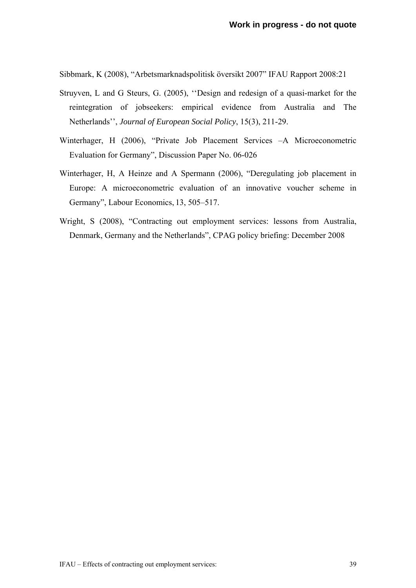Sibbmark, K (2008), "Arbetsmarknadspolitisk översikt 2007" IFAU Rapport 2008:21

- Struyven, L and G Steurs, G. (2005), ''Design and redesign of a quasi-market for the reintegration of jobseekers: empirical evidence from Australia and The Netherlands'', *Journal of European Social Policy*, 15(3), 211-29.
- Winterhager, H (2006), "Private Job Placement Services –A Microeconometric Evaluation for Germany", Discussion Paper No. 06-026
- Winterhager, H, A Heinze and A Spermann (2006), "Deregulating job placement in Europe: A microeconometric evaluation of an innovative voucher scheme in Germany", Labour Economics, 13, 505–517.
- Wright, S (2008), "Contracting out employment services: lessons from Australia, Denmark, Germany and the Netherlands", CPAG policy briefing: December 2008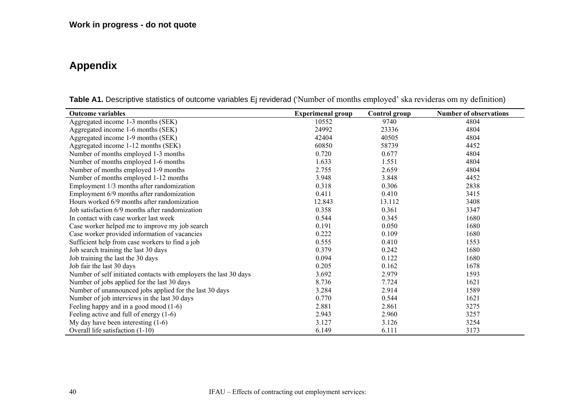# **Appendix**

| <b>Outcome variables</b>                                          | <b>Experimenal group</b> | Control group | <b>Number of observations</b> |
|-------------------------------------------------------------------|--------------------------|---------------|-------------------------------|
| Aggregated income 1-3 months (SEK)                                | 10552                    | 9740          | 4804                          |
| Aggregated income 1-6 months (SEK)                                | 24992                    | 23336         | 4804                          |
| Aggregated income 1-9 months (SEK)                                | 42404                    | 40505         | 4804                          |
| Aggregated income 1-12 months (SEK)                               | 60850                    | 58739         | 4452                          |
| Number of months employed 1-3 months                              | 0.720                    | 0.677         | 4804                          |
| Number of months employed 1-6 months                              | 1.633                    | 1.551         | 4804                          |
| Number of months employed 1-9 months                              | 2.755                    | 2.659         | 4804                          |
| Number of months employed 1-12 months                             | 3.948                    | 3.848         | 4452                          |
| Employment 1/3 months after randomization                         | 0.318                    | 0.306         | 2838                          |
| Employment 6/9 months after randomization                         | 0.411                    | 0.410         | 3415                          |
| Hours worked 6/9 months after randomization                       | 12.843                   | 13.112        | 3408                          |
| Job satisfaction 6/9 months after randomization                   | 0.358                    | 0.361         | 3347                          |
| In contact with case worker last week                             | 0.544                    | 0.345         | 1680                          |
| Case worker helped me to improve my job search                    | 0.191                    | 0.050         | 1680                          |
| Case worker provided information of vacancies                     | 0.222                    | 0.109         | 1680                          |
| Sufficient help from case workers to find a job                   | 0.555                    | 0.410         | 1553                          |
| Job search training the last 30 days                              | 0.379                    | 0.242         | 1680                          |
| Job training the last the 30 days                                 | 0.094                    | 0.122         | 1680                          |
| Job fair the last 30 days                                         | 0.205                    | 0.162         | 1678                          |
| Number of self initiated contacts with employers the last 30 days | 3.692                    | 2.979         | 1593                          |
| Number of jobs applied for the last 30 days                       | 8.736                    | 7.724         | 1621                          |
| Number of unannounced jobs applied for the last 30 days           | 3.284                    | 2.914         | 1589                          |
| Number of job interviews in the last 30 days                      | 0.770                    | 0.544         | 1621                          |
| Feeling happy and in a good mood $(1-6)$                          | 2.881                    | 2.861         | 3275                          |
| Feeling active and full of energy $(1-6)$                         | 2.943                    | 2.960         | 3257                          |
| My day have been interesting $(1-6)$                              | 3.127                    | 3.126         | 3254                          |
| Overall life satisfaction (1-10)                                  | 6.149                    | 6.111         | 3173                          |

**Table A1.** Descriptive statistics of outcome variables Ej reviderad ('Number of months employed' ska revideras om ny definition)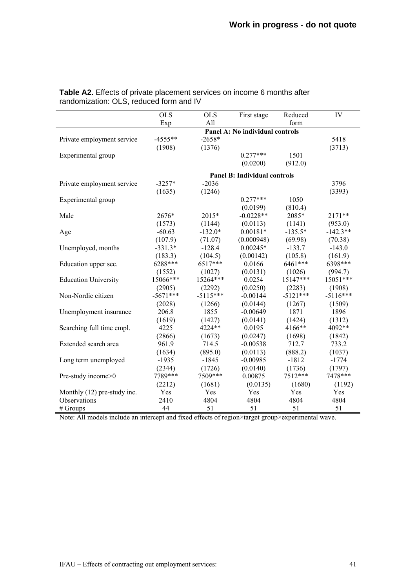|                             | $\overline{OLS}$ | <b>OLS</b> | First stage                         | Reduced    | IV         |
|-----------------------------|------------------|------------|-------------------------------------|------------|------------|
|                             | Exp              | All        |                                     | form       |            |
|                             |                  |            | Panel A: No individual controls     |            |            |
| Private employment service  | $-4555**$        | $-2658*$   |                                     |            | 5418       |
|                             | (1908)           | (1376)     |                                     |            | (3713)     |
| Experimental group          |                  |            | $0.277***$                          | 1501       |            |
|                             |                  |            | (0.0200)                            | (912.0)    |            |
|                             |                  |            | <b>Panel B: Individual controls</b> |            |            |
| Private employment service  | $-3257*$         | $-2036$    |                                     |            | 3796       |
|                             | (1635)           | (1246)     |                                     |            | (3393)     |
| Experimental group          |                  |            | $0.277***$                          | 1050       |            |
|                             |                  |            | (0.0199)                            | (810.4)    |            |
| Male                        | 2676*            | 2015*      | $-0.0228**$                         | 2085*      | 2171**     |
|                             | (1573)           | (1144)     | (0.0113)                            | (1141)     | (953.0)    |
| Age                         | $-60.63$         | $-132.0*$  | $0.00181*$                          | $-135.5*$  | $-142.3**$ |
|                             | (107.9)          | (71.07)    | (0.000948)                          | (69.98)    | (70.38)    |
| Unemployed, months          | $-331.3*$        | $-128.4$   | $0.00245*$                          | $-133.7$   | $-143.0$   |
|                             | (183.3)          | (104.5)    | (0.00142)                           | (105.8)    | (161.9)    |
| Education upper sec.        | 6288***          | 6517***    | 0.0166                              | 6461***    | 6398***    |
|                             | (1552)           | (1027)     | (0.0131)                            | (1026)     | (994.7)    |
| <b>Education University</b> | 15066***         | 15264***   | 0.0254                              | 15147***   | 15051***   |
|                             | (2905)           | (2292)     | (0.0250)                            | (2283)     | (1908)     |
| Non-Nordic citizen          | $-5671***$       | $-5115***$ | $-0.00144$                          | $-5121***$ | $-5116***$ |
|                             | (2028)           | (1266)     | (0.0144)                            | (1267)     | (1509)     |
| Unemployment insurance      | 206.8            | 1855       | $-0.00649$                          | 1871       | 1896       |
|                             | (1619)           | (1427)     | (0.0141)                            | (1424)     | (1312)     |
| Searching full time empl.   | 4225             | 4224**     | 0.0195                              | 4166**     | 4092**     |
|                             | (2866)           | (1673)     | (0.0247)                            | (1698)     | (1842)     |
| Extended search area        | 961.9            | 714.5      | $-0.00538$                          | 712.7      | 733.2      |
|                             | (1634)           | (895.0)    | (0.0113)                            | (888.2)    | (1037)     |
| Long term unemployed        | $-1935$          | $-1845$    | $-0.00985$                          | $-1812$    | $-1774$    |
|                             | (2344)           | (1726)     | (0.0140)                            | (1736)     | (1797)     |
| Pre-study income>0          | 7789***          | 7509***    | 0.00875                             | 7512***    | 7478 ***   |
|                             | (2212)           | (1681)     | (0.0135)                            | (1680)     | (1192)     |
| Monthly (12) pre-study inc. | Yes              | Yes        | Yes                                 | Yes        | Yes        |
| Observations                | 2410             | 4804       | 4804                                | 4804       | 4804       |
| # Groups                    | 44               | 51         | 51                                  | 51         | 51         |

**Table A2.** Effects of private placement services on income 6 months after randomization: OLS, reduced form and IV

Note: All models include an intercept and fixed effects of region×target group×experimental wave.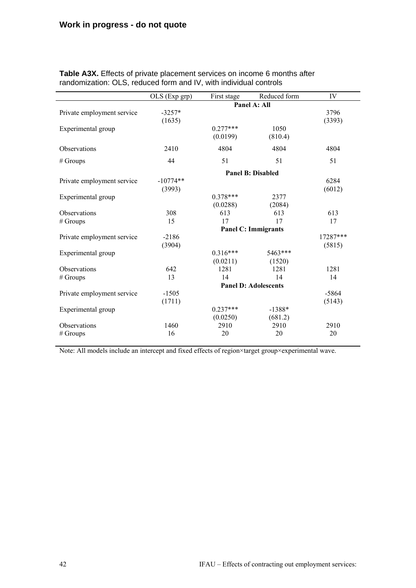|                            | OLS (Exp grp) | First stage                 | Reduced form | IV       |
|----------------------------|---------------|-----------------------------|--------------|----------|
|                            |               | Panel A: All                |              |          |
| Private employment service | $-3257*$      |                             |              | 3796     |
|                            | (1635)        |                             |              | (3393)   |
| Experimental group         |               | $0.277***$                  | 1050         |          |
|                            |               | (0.0199)                    | (810.4)      |          |
| Observations               | 2410          | 4804                        | 4804         | 4804     |
| $#$ Groups                 | 44            | 51                          | 51           | 51       |
|                            |               | <b>Panel B: Disabled</b>    |              |          |
| Private employment service | $-10774**$    |                             |              | 6284     |
|                            | (3993)        |                             |              | (6012)   |
| Experimental group         |               | $0.378***$                  | 2377         |          |
|                            |               | (0.0288)                    | (2084)       |          |
| Observations               | 308           | 613                         | 613          | 613      |
| $#$ Groups                 | 15            | 17                          | 17           | 17       |
|                            |               | <b>Panel C: Immigrants</b>  |              |          |
| Private employment service | $-2186$       |                             |              | 17287*** |
|                            | (3904)        |                             |              | (5815)   |
| Experimental group         |               | $0.316***$                  | 5463***      |          |
|                            |               | (0.0211)                    | (1520)       |          |
| Observations               | 642           | 1281                        | 1281         | 1281     |
| $#$ Groups                 | 13            | 14                          | 14           | 14       |
|                            |               | <b>Panel D: Adolescents</b> |              |          |
| Private employment service | $-1505$       |                             |              | $-5864$  |
|                            | (1711)        |                             |              | (5143)   |
| Experimental group         |               | $0.237***$                  | $-1388*$     |          |
|                            |               | (0.0250)                    | (681.2)      |          |
| Observations               | 1460          | 2910                        | 2910         | 2910     |
| $#$ Groups                 | 16            | 20                          | 20           | 20       |

**Table A3X.** Effects of private placement services on income 6 months after randomization: OLS, reduced form and IV, with individual controls

Note: All models include an intercept and fixed effects of region×target group×experimental wave.